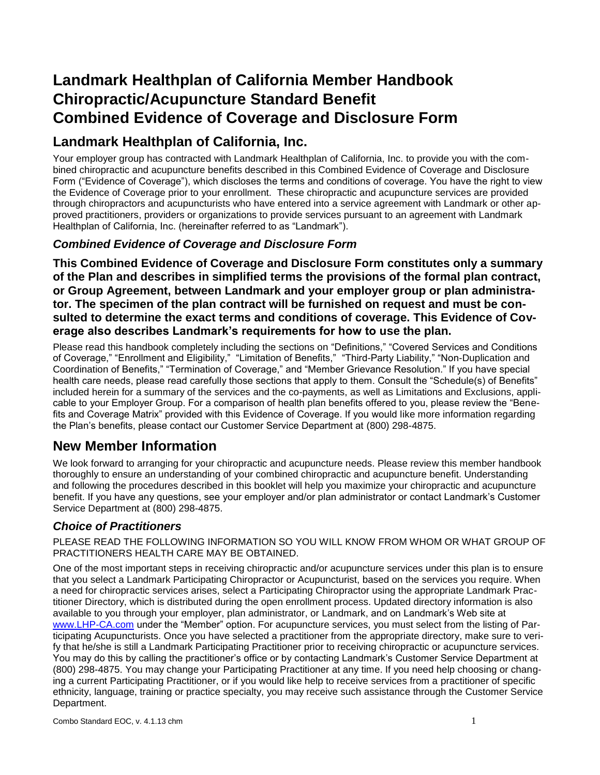# **Landmark Healthplan of California Member Handbook Chiropractic/Acupuncture Standard Benefit Combined Evidence of Coverage and Disclosure Form**

# **Landmark Healthplan of California, Inc.**

Your employer group has contracted with Landmark Healthplan of California, Inc. to provide you with the combined chiropractic and acupuncture benefits described in this Combined Evidence of Coverage and Disclosure Form ("Evidence of Coverage"), which discloses the terms and conditions of coverage. You have the right to view the Evidence of Coverage prior to your enrollment. These chiropractic and acupuncture services are provided through chiropractors and acupuncturists who have entered into a service agreement with Landmark or other approved practitioners, providers or organizations to provide services pursuant to an agreement with Landmark Healthplan of California, Inc. (hereinafter referred to as "Landmark").

## *Combined Evidence of Coverage and Disclosure Form*

**This Combined Evidence of Coverage and Disclosure Form constitutes only a summary of the Plan and describes in simplified terms the provisions of the formal plan contract, or Group Agreement, between Landmark and your employer group or plan administrator. The specimen of the plan contract will be furnished on request and must be consulted to determine the exact terms and conditions of coverage. This Evidence of Coverage also describes Landmark's requirements for how to use the plan.**

Please read this handbook completely including the sections on "Definitions," "Covered Services and Conditions of Coverage," "Enrollment and Eligibility," "Limitation of Benefits," "Third-Party Liability," "Non-Duplication and Coordination of Benefits," "Termination of Coverage," and "Member Grievance Resolution." If you have special health care needs, please read carefully those sections that apply to them. Consult the "Schedule(s) of Benefits" included herein for a summary of the services and the co-payments, as well as Limitations and Exclusions, applicable to your Employer Group. For a comparison of health plan benefits offered to you, please review the "Benefits and Coverage Matrix" provided with this Evidence of Coverage. If you would like more information regarding the Plan's benefits, please contact our Customer Service Department at (800) 298-4875.

# **New Member Information**

We look forward to arranging for your chiropractic and acupuncture needs. Please review this member handbook thoroughly to ensure an understanding of your combined chiropractic and acupuncture benefit. Understanding and following the procedures described in this booklet will help you maximize your chiropractic and acupuncture benefit. If you have any questions, see your employer and/or plan administrator or contact Landmark's Customer Service Department at (800) 298-4875.

## *Choice of Practitioners*

PLEASE READ THE FOLLOWING INFORMATION SO YOU WILL KNOW FROM WHOM OR WHAT GROUP OF PRACTITIONERS HEALTH CARE MAY BE OBTAINED.

One of the most important steps in receiving chiropractic and/or acupuncture services under this plan is to ensure that you select a Landmark Participating Chiropractor or Acupuncturist, based on the services you require. When a need for chiropractic services arises, select a Participating Chiropractor using the appropriate Landmark Practitioner Directory, which is distributed during the open enrollment process. Updated directory information is also available to you through your employer, plan administrator, or Landmark, and on Landmark's Web site at [www.LHP-CA.com](http://www.lhp-ca.com/) under the "Member" option. For acupuncture services, you must select from the listing of Participating Acupuncturists. Once you have selected a practitioner from the appropriate directory, make sure to verify that he/she is still a Landmark Participating Practitioner prior to receiving chiropractic or acupuncture services. You may do this by calling the practitioner's office or by contacting Landmark's Customer Service Department at (800) 298-4875. You may change your Participating Practitioner at any time. If you need help choosing or changing a current Participating Practitioner, or if you would like help to receive services from a practitioner of specific ethnicity, language, training or practice specialty, you may receive such assistance through the Customer Service Department.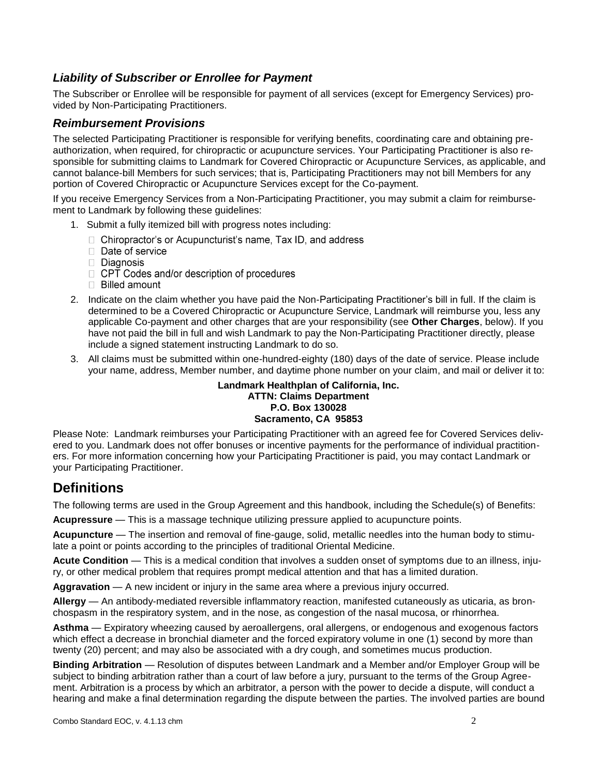### *Liability of Subscriber or Enrollee for Payment*

The Subscriber or Enrollee will be responsible for payment of all services (except for Emergency Services) provided by Non-Participating Practitioners.

#### *Reimbursement Provisions*

The selected Participating Practitioner is responsible for verifying benefits, coordinating care and obtaining preauthorization, when required, for chiropractic or acupuncture services. Your Participating Practitioner is also responsible for submitting claims to Landmark for Covered Chiropractic or Acupuncture Services, as applicable, and cannot balance-bill Members for such services; that is, Participating Practitioners may not bill Members for any portion of Covered Chiropractic or Acupuncture Services except for the Co-payment.

If you receive Emergency Services from a Non-Participating Practitioner, you may submit a claim for reimbursement to Landmark by following these guidelines:

- 1. Submit a fully itemized bill with progress notes including:
	- $\Box$  Chiropractor's or Acupuncturist's name, Tax ID, and address
	- $\Box$  Date of service
	- Diagnosis
	- □ CPT Codes and/or description of procedures
	- $\Box$  Billed amount
- 2. Indicate on the claim whether you have paid the Non-Participating Practitioner's bill in full. If the claim is determined to be a Covered Chiropractic or Acupuncture Service, Landmark will reimburse you, less any applicable Co-payment and other charges that are your responsibility (see **Other Charges**, below). If you have not paid the bill in full and wish Landmark to pay the Non-Participating Practitioner directly, please include a signed statement instructing Landmark to do so.
- 3. All claims must be submitted within one-hundred-eighty (180) days of the date of service. Please include your name, address, Member number, and daytime phone number on your claim, and mail or deliver it to:

#### **Landmark Healthplan of California, Inc. ATTN: Claims Department P.O. Box 130028 Sacramento, CA 95853**

Please Note: Landmark reimburses your Participating Practitioner with an agreed fee for Covered Services delivered to you. Landmark does not offer bonuses or incentive payments for the performance of individual practitioners. For more information concerning how your Participating Practitioner is paid, you may contact Landmark or your Participating Practitioner.

## **Definitions**

The following terms are used in the Group Agreement and this handbook, including the Schedule(s) of Benefits:

**Acupressure** — This is a massage technique utilizing pressure applied to acupuncture points.

**Acupuncture** — The insertion and removal of fine-gauge, solid, metallic needles into the human body to stimulate a point or points according to the principles of traditional Oriental Medicine.

**Acute Condition** — This is a medical condition that involves a sudden onset of symptoms due to an illness, injury, or other medical problem that requires prompt medical attention and that has a limited duration.

**Aggravation** — A new incident or injury in the same area where a previous injury occurred.

**Allergy** — An antibody-mediated reversible inflammatory reaction, manifested cutaneously as uticaria, as bronchospasm in the respiratory system, and in the nose, as congestion of the nasal mucosa, or rhinorrhea.

Asthma — Expiratory wheezing caused by aeroallergens, oral allergens, or endogenous and exogenous factors which effect a decrease in bronchial diameter and the forced expiratory volume in one (1) second by more than twenty (20) percent; and may also be associated with a dry cough, and sometimes mucus production.

**Binding Arbitration** — Resolution of disputes between Landmark and a Member and/or Employer Group will be subject to binding arbitration rather than a court of law before a jury, pursuant to the terms of the Group Agreement. Arbitration is a process by which an arbitrator, a person with the power to decide a dispute, will conduct a hearing and make a final determination regarding the dispute between the parties. The involved parties are bound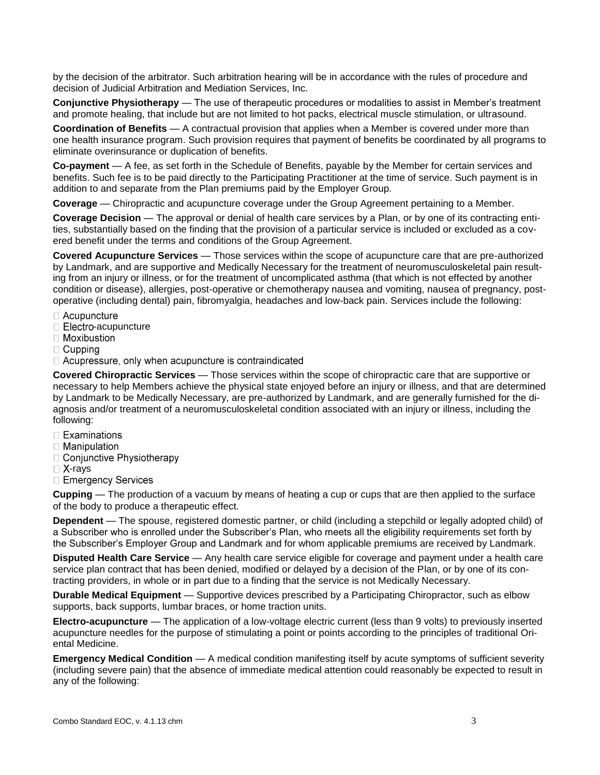by the decision of the arbitrator. Such arbitration hearing will be in accordance with the rules of procedure and decision of Judicial Arbitration and Mediation Services, Inc.

**Conjunctive Physiotherapy** — The use of therapeutic procedures or modalities to assist in Member's treatment and promote healing, that include but are not limited to hot packs, electrical muscle stimulation, or ultrasound.

**Coordination of Benefits** — A contractual provision that applies when a Member is covered under more than one health insurance program. Such provision requires that payment of benefits be coordinated by all programs to eliminate overinsurance or duplication of benefits.

**Co-payment** — A fee, as set forth in the Schedule of Benefits, payable by the Member for certain services and benefits. Such fee is to be paid directly to the Participating Practitioner at the time of service. Such payment is in addition to and separate from the Plan premiums paid by the Employer Group.

**Coverage** — Chiropractic and acupuncture coverage under the Group Agreement pertaining to a Member.

**Coverage Decision** — The approval or denial of health care services by a Plan, or by one of its contracting entities, substantially based on the finding that the provision of a particular service is included or excluded as a covered benefit under the terms and conditions of the Group Agreement.

**Covered Acupuncture Services** — Those services within the scope of acupuncture care that are pre-authorized by Landmark, and are supportive and Medically Necessary for the treatment of neuromusculoskeletal pain resulting from an injury or illness, or for the treatment of uncomplicated asthma (that which is not effected by another condition or disease), allergies, post-operative or chemotherapy nausea and vomiting, nausea of pregnancy, postoperative (including dental) pain, fibromyalgia, headaches and low-back pain. Services include the following:

- $\Box$  Acupuncture
- $\Box$  Electro-acupuncture
- $\Box$  Moxibustion
- $\Box$  Cupping
- □ Acupressure, only when acupuncture is contraindicated

**Covered Chiropractic Services** — Those services within the scope of chiropractic care that are supportive or necessary to help Members achieve the physical state enjoyed before an injury or illness, and that are determined by Landmark to be Medically Necessary, are pre-authorized by Landmark, and are generally furnished for the diagnosis and/or treatment of a neuromusculoskeletal condition associated with an injury or illness, including the following:

- $\Box$  Examinations
- $\Box$  Manipulation
- □ Conjunctive Physiotherapy
- $\Box$  X-rays
- □ Emergency Services

**Cupping** — The production of a vacuum by means of heating a cup or cups that are then applied to the surface of the body to produce a therapeutic effect.

**Dependent** — The spouse, registered domestic partner, or child (including a stepchild or legally adopted child) of a Subscriber who is enrolled under the Subscriber's Plan, who meets all the eligibility requirements set forth by the Subscriber's Employer Group and Landmark and for whom applicable premiums are received by Landmark.

**Disputed Health Care Service** — Any health care service eligible for coverage and payment under a health care service plan contract that has been denied, modified or delayed by a decision of the Plan, or by one of its contracting providers, in whole or in part due to a finding that the service is not Medically Necessary.

**Durable Medical Equipment** — Supportive devices prescribed by a Participating Chiropractor, such as elbow supports, back supports, lumbar braces, or home traction units.

**Electro-acupuncture** — The application of a low-voltage electric current (less than 9 volts) to previously inserted acupuncture needles for the purpose of stimulating a point or points according to the principles of traditional Oriental Medicine.

**Emergency Medical Condition** — A medical condition manifesting itself by acute symptoms of sufficient severity (including severe pain) that the absence of immediate medical attention could reasonably be expected to result in any of the following: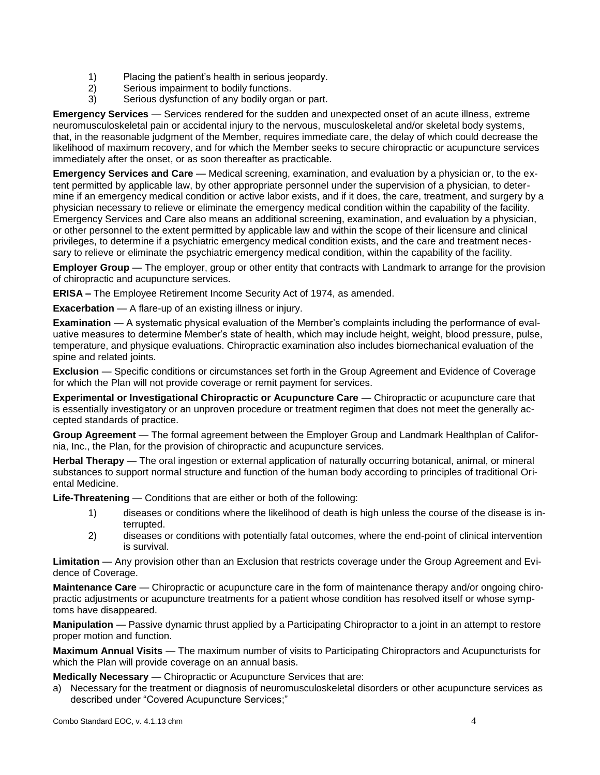- 1) Placing the patient's health in serious jeopardy.
- 2) Serious impairment to bodily functions.
- 3) Serious dysfunction of any bodily organ or part.

**Emergency Services** — Services rendered for the sudden and unexpected onset of an acute illness, extreme neuromusculoskeletal pain or accidental injury to the nervous, musculoskeletal and/or skeletal body systems, that, in the reasonable judgment of the Member, requires immediate care, the delay of which could decrease the likelihood of maximum recovery, and for which the Member seeks to secure chiropractic or acupuncture services immediately after the onset, or as soon thereafter as practicable.

**Emergency Services and Care** — Medical screening, examination, and evaluation by a physician or, to the extent permitted by applicable law, by other appropriate personnel under the supervision of a physician, to determine if an emergency medical condition or active labor exists, and if it does, the care, treatment, and surgery by a physician necessary to relieve or eliminate the emergency medical condition within the capability of the facility. Emergency Services and Care also means an additional screening, examination, and evaluation by a physician, or other personnel to the extent permitted by applicable law and within the scope of their licensure and clinical privileges, to determine if a psychiatric emergency medical condition exists, and the care and treatment necessary to relieve or eliminate the psychiatric emergency medical condition, within the capability of the facility.

**Employer Group** — The employer, group or other entity that contracts with Landmark to arrange for the provision of chiropractic and acupuncture services.

**ERISA –** The Employee Retirement Income Security Act of 1974, as amended.

**Exacerbation** — A flare-up of an existing illness or injury.

**Examination** — A systematic physical evaluation of the Member's complaints including the performance of evaluative measures to determine Member's state of health, which may include height, weight, blood pressure, pulse, temperature, and physique evaluations. Chiropractic examination also includes biomechanical evaluation of the spine and related joints.

**Exclusion** — Specific conditions or circumstances set forth in the Group Agreement and Evidence of Coverage for which the Plan will not provide coverage or remit payment for services.

**Experimental or Investigational Chiropractic or Acupuncture Care** — Chiropractic or acupuncture care that is essentially investigatory or an unproven procedure or treatment regimen that does not meet the generally accepted standards of practice.

**Group Agreement** — The formal agreement between the Employer Group and Landmark Healthplan of California, Inc., the Plan, for the provision of chiropractic and acupuncture services.

**Herbal Therapy** — The oral ingestion or external application of naturally occurring botanical, animal, or mineral substances to support normal structure and function of the human body according to principles of traditional Oriental Medicine.

**Life-Threatening** — Conditions that are either or both of the following:

- 1) diseases or conditions where the likelihood of death is high unless the course of the disease is interrupted.
- 2) diseases or conditions with potentially fatal outcomes, where the end-point of clinical intervention is survival.

**Limitation** — Any provision other than an Exclusion that restricts coverage under the Group Agreement and Evidence of Coverage.

**Maintenance Care** — Chiropractic or acupuncture care in the form of maintenance therapy and/or ongoing chiropractic adjustments or acupuncture treatments for a patient whose condition has resolved itself or whose symptoms have disappeared.

**Manipulation** — Passive dynamic thrust applied by a Participating Chiropractor to a joint in an attempt to restore proper motion and function.

**Maximum Annual Visits** — The maximum number of visits to Participating Chiropractors and Acupuncturists for which the Plan will provide coverage on an annual basis.

**Medically Necessary** — Chiropractic or Acupuncture Services that are:

a) Necessary for the treatment or diagnosis of neuromusculoskeletal disorders or other acupuncture services as described under "Covered Acupuncture Services;"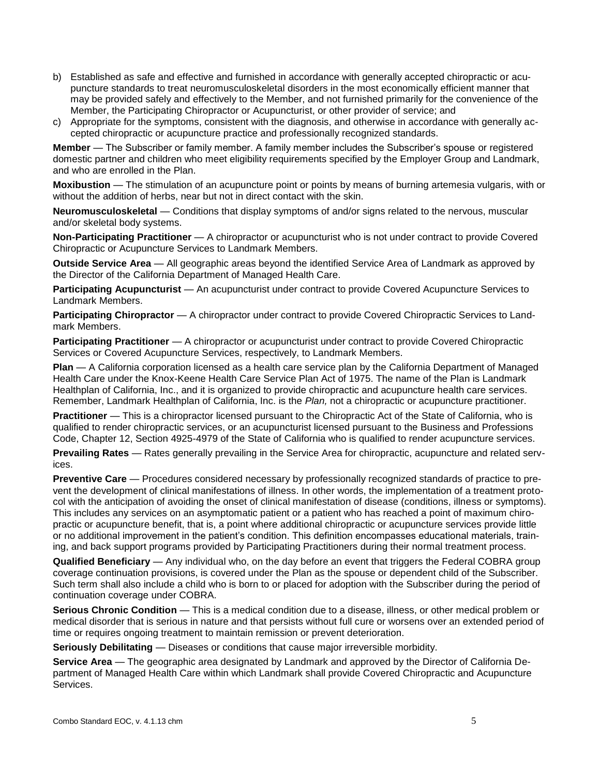- b) Established as safe and effective and furnished in accordance with generally accepted chiropractic or acupuncture standards to treat neuromusculoskeletal disorders in the most economically efficient manner that may be provided safely and effectively to the Member, and not furnished primarily for the convenience of the Member, the Participating Chiropractor or Acupuncturist, or other provider of service; and
- c) Appropriate for the symptoms, consistent with the diagnosis, and otherwise in accordance with generally accepted chiropractic or acupuncture practice and professionally recognized standards.

**Member** — The Subscriber or family member. A family member includes the Subscriber's spouse or registered domestic partner and children who meet eligibility requirements specified by the Employer Group and Landmark, and who are enrolled in the Plan.

**Moxibustion** — The stimulation of an acupuncture point or points by means of burning artemesia vulgaris, with or without the addition of herbs, near but not in direct contact with the skin.

**Neuromusculoskeletal** — Conditions that display symptoms of and/or signs related to the nervous, muscular and/or skeletal body systems.

**Non-Participating Practitioner** — A chiropractor or acupuncturist who is not under contract to provide Covered Chiropractic or Acupuncture Services to Landmark Members.

**Outside Service Area** — All geographic areas beyond the identified Service Area of Landmark as approved by the Director of the California Department of Managed Health Care.

**Participating Acupuncturist** — An acupuncturist under contract to provide Covered Acupuncture Services to Landmark Members.

**Participating Chiropractor** — A chiropractor under contract to provide Covered Chiropractic Services to Landmark Members.

**Participating Practitioner** — A chiropractor or acupuncturist under contract to provide Covered Chiropractic Services or Covered Acupuncture Services, respectively, to Landmark Members.

**Plan** — A California corporation licensed as a health care service plan by the California Department of Managed Health Care under the Knox-Keene Health Care Service Plan Act of 1975. The name of the Plan is Landmark Healthplan of California, Inc., and it is organized to provide chiropractic and acupuncture health care services. Remember, Landmark Healthplan of California, Inc. is the *Plan,* not a chiropractic or acupuncture practitioner.

**Practitioner** — This is a chiropractor licensed pursuant to the Chiropractic Act of the State of California, who is qualified to render chiropractic services, or an acupuncturist licensed pursuant to the Business and Professions Code, Chapter 12, Section 4925-4979 of the State of California who is qualified to render acupuncture services.

**Prevailing Rates** — Rates generally prevailing in the Service Area for chiropractic, acupuncture and related services.

**Preventive Care** — Procedures considered necessary by professionally recognized standards of practice to prevent the development of clinical manifestations of illness. In other words, the implementation of a treatment protocol with the anticipation of avoiding the onset of clinical manifestation of disease (conditions, illness or symptoms). This includes any services on an asymptomatic patient or a patient who has reached a point of maximum chiropractic or acupuncture benefit, that is, a point where additional chiropractic or acupuncture services provide little or no additional improvement in the patient's condition. This definition encompasses educational materials, training, and back support programs provided by Participating Practitioners during their normal treatment process.

**Qualified Beneficiary** — Any individual who, on the day before an event that triggers the Federal COBRA group coverage continuation provisions, is covered under the Plan as the spouse or dependent child of the Subscriber. Such term shall also include a child who is born to or placed for adoption with the Subscriber during the period of continuation coverage under COBRA.

**Serious Chronic Condition** — This is a medical condition due to a disease, illness, or other medical problem or medical disorder that is serious in nature and that persists without full cure or worsens over an extended period of time or requires ongoing treatment to maintain remission or prevent deterioration.

**Seriously Debilitating** — Diseases or conditions that cause major irreversible morbidity.

**Service Area** — The geographic area designated by Landmark and approved by the Director of California Department of Managed Health Care within which Landmark shall provide Covered Chiropractic and Acupuncture Services.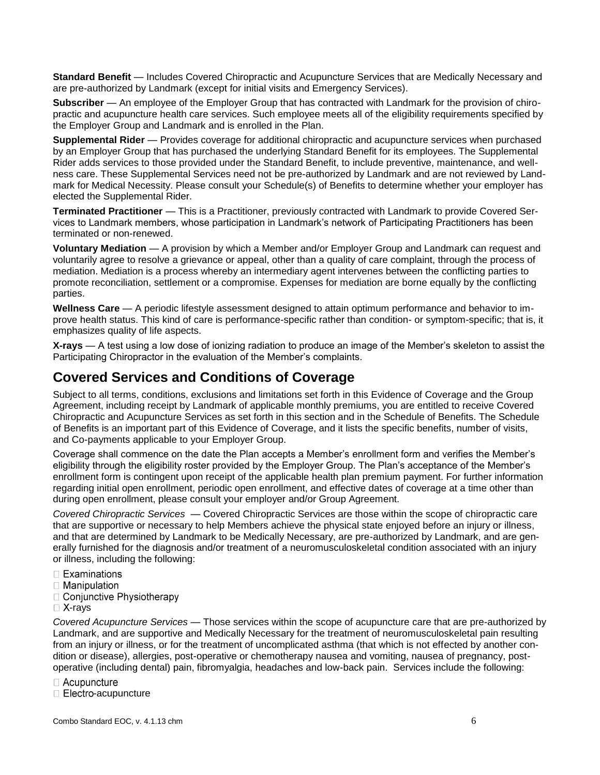**Standard Benefit** — Includes Covered Chiropractic and Acupuncture Services that are Medically Necessary and are pre-authorized by Landmark (except for initial visits and Emergency Services).

**Subscriber** — An employee of the Employer Group that has contracted with Landmark for the provision of chiropractic and acupuncture health care services. Such employee meets all of the eligibility requirements specified by the Employer Group and Landmark and is enrolled in the Plan.

**Supplemental Rider** — Provides coverage for additional chiropractic and acupuncture services when purchased by an Employer Group that has purchased the underlying Standard Benefit for its employees. The Supplemental Rider adds services to those provided under the Standard Benefit, to include preventive, maintenance, and wellness care. These Supplemental Services need not be pre-authorized by Landmark and are not reviewed by Landmark for Medical Necessity. Please consult your Schedule(s) of Benefits to determine whether your employer has elected the Supplemental Rider.

**Terminated Practitioner** — This is a Practitioner, previously contracted with Landmark to provide Covered Services to Landmark members, whose participation in Landmark's network of Participating Practitioners has been terminated or non-renewed.

**Voluntary Mediation** — A provision by which a Member and/or Employer Group and Landmark can request and voluntarily agree to resolve a grievance or appeal, other than a quality of care complaint, through the process of mediation. Mediation is a process whereby an intermediary agent intervenes between the conflicting parties to promote reconciliation, settlement or a compromise. Expenses for mediation are borne equally by the conflicting parties.

**Wellness Care** — A periodic lifestyle assessment designed to attain optimum performance and behavior to improve health status. This kind of care is performance-specific rather than condition- or symptom-specific; that is, it emphasizes quality of life aspects.

**X-rays** — A test using a low dose of ionizing radiation to produce an image of the Member's skeleton to assist the Participating Chiropractor in the evaluation of the Member's complaints.

## **Covered Services and Conditions of Coverage**

Subject to all terms, conditions, exclusions and limitations set forth in this Evidence of Coverage and the Group Agreement, including receipt by Landmark of applicable monthly premiums, you are entitled to receive Covered Chiropractic and Acupuncture Services as set forth in this section and in the Schedule of Benefits. The Schedule of Benefits is an important part of this Evidence of Coverage, and it lists the specific benefits, number of visits, and Co-payments applicable to your Employer Group.

Coverage shall commence on the date the Plan accepts a Member's enrollment form and verifies the Member's eligibility through the eligibility roster provided by the Employer Group. The Plan's acceptance of the Member's enrollment form is contingent upon receipt of the applicable health plan premium payment. For further information regarding initial open enrollment, periodic open enrollment, and effective dates of coverage at a time other than during open enrollment, please consult your employer and/or Group Agreement.

*Covered Chiropractic Services —* Covered Chiropractic Services are those within the scope of chiropractic care that are supportive or necessary to help Members achieve the physical state enjoyed before an injury or illness, and that are determined by Landmark to be Medically Necessary, are pre-authorized by Landmark, and are generally furnished for the diagnosis and/or treatment of a neuromusculoskeletal condition associated with an injury or illness, including the following:

- $\Box$  Examinations
- $\Box$  Manipulation
- □ Conjunctive Physiotherapy
- $\Box$  X-rays

*Covered Acupuncture Services* — Those services within the scope of acupuncture care that are pre-authorized by Landmark, and are supportive and Medically Necessary for the treatment of neuromusculoskeletal pain resulting from an injury or illness, or for the treatment of uncomplicated asthma (that which is not effected by another condition or disease), allergies, post-operative or chemotherapy nausea and vomiting, nausea of pregnancy, postoperative (including dental) pain, fibromyalgia, headaches and low-back pain. Services include the following:

 $\Box$  Acupuncture

 $\Box$  Electro-acupuncture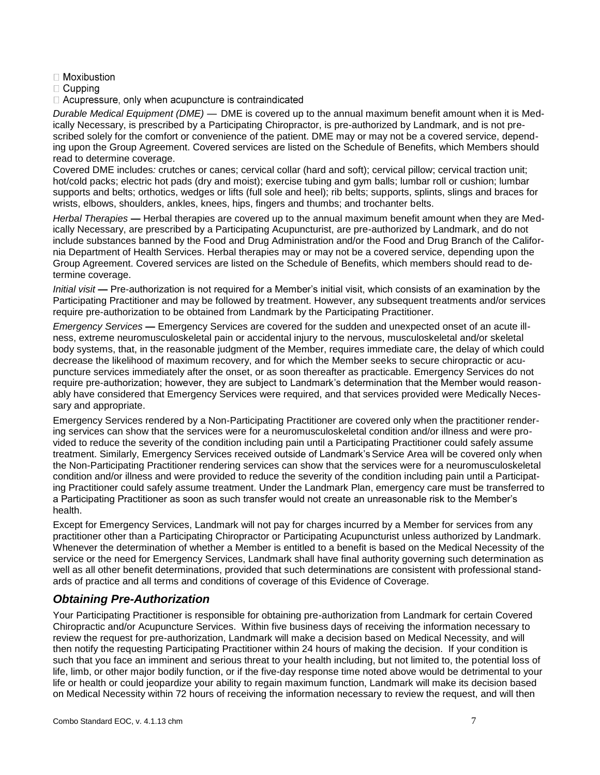- $\Box$  Moxibustion
- $\Box$  Cupping
- $\Box$  Acupressure, only when acupuncture is contraindicated

*Durable Medical Equipment (DME) —* DME is covered up to the annual maximum benefit amount when it is Medically Necessary, is prescribed by a Participating Chiropractor, is pre-authorized by Landmark, and is not prescribed solely for the comfort or convenience of the patient. DME may or may not be a covered service, depending upon the Group Agreement. Covered services are listed on the Schedule of Benefits, which Members should read to determine coverage.

Covered DME includes*:* crutches or canes; cervical collar (hard and soft); cervical pillow; cervical traction unit; hot/cold packs; electric hot pads (dry and moist); exercise tubing and gym balls; lumbar roll or cushion; lumbar supports and belts; orthotics, wedges or lifts (full sole and heel); rib belts; supports, splints, slings and braces for wrists, elbows, shoulders, ankles, knees, hips, fingers and thumbs; and trochanter belts.

*Herbal Therapies —* Herbal therapies are covered up to the annual maximum benefit amount when they are Medically Necessary, are prescribed by a Participating Acupuncturist, are pre-authorized by Landmark, and do not include substances banned by the Food and Drug Administration and/or the Food and Drug Branch of the California Department of Health Services. Herbal therapies may or may not be a covered service, depending upon the Group Agreement. Covered services are listed on the Schedule of Benefits, which members should read to determine coverage.

*Initial visit —* Pre-authorization is not required for a Member's initial visit, which consists of an examination by the Participating Practitioner and may be followed by treatment. However, any subsequent treatments and/or services require pre-authorization to be obtained from Landmark by the Participating Practitioner.

*Emergency Services —* Emergency Services are covered for the sudden and unexpected onset of an acute illness, extreme neuromusculoskeletal pain or accidental injury to the nervous, musculoskeletal and/or skeletal body systems, that, in the reasonable judgment of the Member, requires immediate care, the delay of which could decrease the likelihood of maximum recovery, and for which the Member seeks to secure chiropractic or acupuncture services immediately after the onset, or as soon thereafter as practicable. Emergency Services do not require pre-authorization; however, they are subject to Landmark's determination that the Member would reasonably have considered that Emergency Services were required, and that services provided were Medically Necessary and appropriate.

Emergency Services rendered by a Non-Participating Practitioner are covered only when the practitioner rendering services can show that the services were for a neuromusculoskeletal condition and/or illness and were provided to reduce the severity of the condition including pain until a Participating Practitioner could safely assume treatment. Similarly, Emergency Services received outside of Landmark's Service Area will be covered only when the Non-Participating Practitioner rendering services can show that the services were for a neuromusculoskeletal condition and/or illness and were provided to reduce the severity of the condition including pain until a Participating Practitioner could safely assume treatment. Under the Landmark Plan, emergency care must be transferred to a Participating Practitioner as soon as such transfer would not create an unreasonable risk to the Member's health.

Except for Emergency Services, Landmark will not pay for charges incurred by a Member for services from any practitioner other than a Participating Chiropractor or Participating Acupuncturist unless authorized by Landmark. Whenever the determination of whether a Member is entitled to a benefit is based on the Medical Necessity of the service or the need for Emergency Services, Landmark shall have final authority governing such determination as well as all other benefit determinations, provided that such determinations are consistent with professional standards of practice and all terms and conditions of coverage of this Evidence of Coverage.

### *Obtaining Pre-Authorization*

Your Participating Practitioner is responsible for obtaining pre-authorization from Landmark for certain Covered Chiropractic and/or Acupuncture Services. Within five business days of receiving the information necessary to review the request for pre-authorization, Landmark will make a decision based on Medical Necessity, and will then notify the requesting Participating Practitioner within 24 hours of making the decision. If your condition is such that you face an imminent and serious threat to your health including, but not limited to, the potential loss of life, limb, or other major bodily function, or if the five-day response time noted above would be detrimental to your life or health or could jeopardize your ability to regain maximum function, Landmark will make its decision based on Medical Necessity within 72 hours of receiving the information necessary to review the request, and will then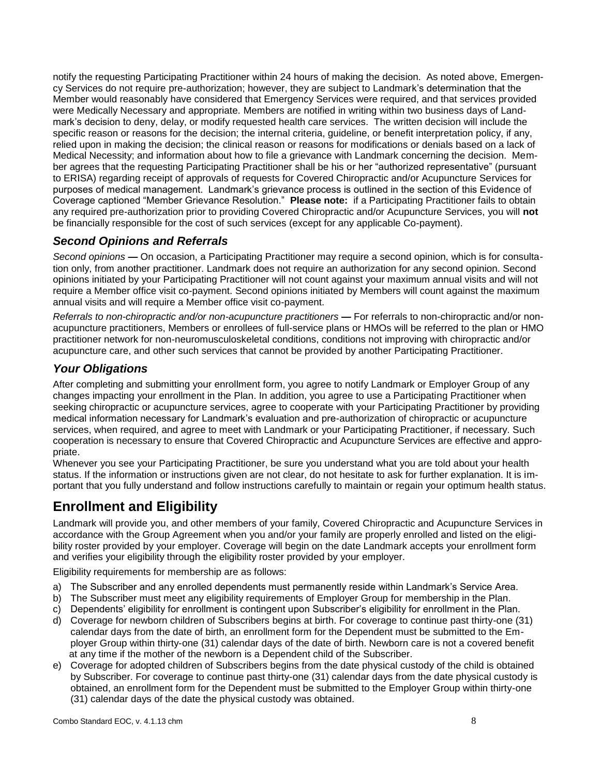notify the requesting Participating Practitioner within 24 hours of making the decision. As noted above, Emergency Services do not require pre-authorization; however, they are subject to Landmark's determination that the Member would reasonably have considered that Emergency Services were required, and that services provided were Medically Necessary and appropriate. Members are notified in writing within two business days of Landmark's decision to deny, delay, or modify requested health care services. The written decision will include the specific reason or reasons for the decision; the internal criteria, guideline, or benefit interpretation policy, if any, relied upon in making the decision; the clinical reason or reasons for modifications or denials based on a lack of Medical Necessity; and information about how to file a grievance with Landmark concerning the decision. Member agrees that the requesting Participating Practitioner shall be his or her "authorized representative" (pursuant to ERISA) regarding receipt of approvals of requests for Covered Chiropractic and/or Acupuncture Services for purposes of medical management. Landmark's grievance process is outlined in the section of this Evidence of Coverage captioned "Member Grievance Resolution." **Please note:** if a Participating Practitioner fails to obtain any required pre-authorization prior to providing Covered Chiropractic and/or Acupuncture Services, you will **not** be financially responsible for the cost of such services (except for any applicable Co-payment).

### *Second Opinions and Referrals*

*Second opinions* **—** On occasion, a Participating Practitioner may require a second opinion, which is for consultation only, from another practitioner. Landmark does not require an authorization for any second opinion. Second opinions initiated by your Participating Practitioner will not count against your maximum annual visits and will not require a Member office visit co-payment. Second opinions initiated by Members will count against the maximum annual visits and will require a Member office visit co-payment.

*Referrals to non-chiropractic and/or non-acupuncture practitioners — For referrals to non-chiropractic and/or non*acupuncture practitioners, Members or enrollees of full-service plans or HMOs will be referred to the plan or HMO practitioner network for non-neuromusculoskeletal conditions, conditions not improving with chiropractic and/or acupuncture care, and other such services that cannot be provided by another Participating Practitioner.

#### *Your Obligations*

After completing and submitting your enrollment form, you agree to notify Landmark or Employer Group of any changes impacting your enrollment in the Plan. In addition, you agree to use a Participating Practitioner when seeking chiropractic or acupuncture services, agree to cooperate with your Participating Practitioner by providing medical information necessary for Landmark's evaluation and pre-authorization of chiropractic or acupuncture services, when required, and agree to meet with Landmark or your Participating Practitioner, if necessary. Such cooperation is necessary to ensure that Covered Chiropractic and Acupuncture Services are effective and appropriate.

Whenever you see your Participating Practitioner, be sure you understand what you are told about your health status. If the information or instructions given are not clear, do not hesitate to ask for further explanation. It is important that you fully understand and follow instructions carefully to maintain or regain your optimum health status.

# **Enrollment and Eligibility**

Landmark will provide you, and other members of your family, Covered Chiropractic and Acupuncture Services in accordance with the Group Agreement when you and/or your family are properly enrolled and listed on the eligibility roster provided by your employer. Coverage will begin on the date Landmark accepts your enrollment form and verifies your eligibility through the eligibility roster provided by your employer.

Eligibility requirements for membership are as follows:

- a) The Subscriber and any enrolled dependents must permanently reside within Landmark's Service Area.
- b) The Subscriber must meet any eligibility requirements of Employer Group for membership in the Plan.
- c) Dependents' eligibility for enrollment is contingent upon Subscriber's eligibility for enrollment in the Plan.
- d) Coverage for newborn children of Subscribers begins at birth. For coverage to continue past thirty-one (31) calendar days from the date of birth, an enrollment form for the Dependent must be submitted to the Employer Group within thirty-one (31) calendar days of the date of birth. Newborn care is not a covered benefit at any time if the mother of the newborn is a Dependent child of the Subscriber.
- e) Coverage for adopted children of Subscribers begins from the date physical custody of the child is obtained by Subscriber. For coverage to continue past thirty-one (31) calendar days from the date physical custody is obtained, an enrollment form for the Dependent must be submitted to the Employer Group within thirty-one (31) calendar days of the date the physical custody was obtained.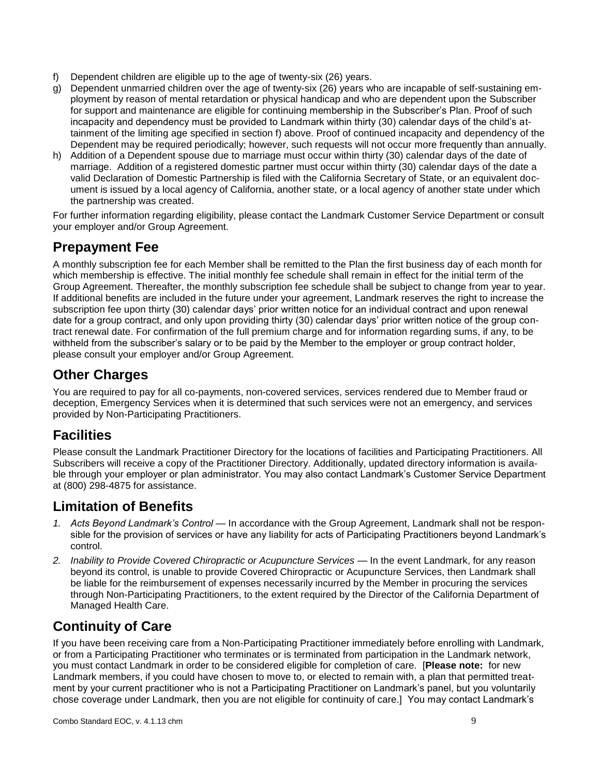- f) Dependent children are eligible up to the age of twenty-six (26) years.
- g) Dependent unmarried children over the age of twenty-six (26) years who are incapable of self-sustaining employment by reason of mental retardation or physical handicap and who are dependent upon the Subscriber for support and maintenance are eligible for continuing membership in the Subscriber's Plan. Proof of such incapacity and dependency must be provided to Landmark within thirty (30) calendar days of the child's attainment of the limiting age specified in section f) above. Proof of continued incapacity and dependency of the Dependent may be required periodically; however, such requests will not occur more frequently than annually.
- h) Addition of a Dependent spouse due to marriage must occur within thirty (30) calendar days of the date of marriage. Addition of a registered domestic partner must occur within thirty (30) calendar days of the date a valid Declaration of Domestic Partnership is filed with the California Secretary of State, or an equivalent document is issued by a local agency of California, another state, or a local agency of another state under which the partnership was created.

For further information regarding eligibility, please contact the Landmark Customer Service Department or consult your employer and/or Group Agreement.

# **Prepayment Fee**

A monthly subscription fee for each Member shall be remitted to the Plan the first business day of each month for which membership is effective. The initial monthly fee schedule shall remain in effect for the initial term of the Group Agreement. Thereafter, the monthly subscription fee schedule shall be subject to change from year to year. If additional benefits are included in the future under your agreement, Landmark reserves the right to increase the subscription fee upon thirty (30) calendar days' prior written notice for an individual contract and upon renewal date for a group contract, and only upon providing thirty (30) calendar days' prior written notice of the group contract renewal date. For confirmation of the full premium charge and for information regarding sums, if any, to be withheld from the subscriber's salary or to be paid by the Member to the employer or group contract holder, please consult your employer and/or Group Agreement.

## **Other Charges**

You are required to pay for all co-payments, non-covered services, services rendered due to Member fraud or deception, Emergency Services when it is determined that such services were not an emergency, and services provided by Non-Participating Practitioners.

# **Facilities**

Please consult the Landmark Practitioner Directory for the locations of facilities and Participating Practitioners. All Subscribers will receive a copy of the Practitioner Directory. Additionally, updated directory information is available through your employer or plan administrator. You may also contact Landmark's Customer Service Department at (800) 298-4875 for assistance.

# **Limitation of Benefits**

- *1. Acts Beyond Landmark's Control*  In accordance with the Group Agreement, Landmark shall not be responsible for the provision of services or have any liability for acts of Participating Practitioners beyond Landmark's control.
- 2. *Inability to Provide Covered Chiropractic or Acupuncture Services In the event Landmark, for any reason* beyond its control, is unable to provide Covered Chiropractic or Acupuncture Services, then Landmark shall be liable for the reimbursement of expenses necessarily incurred by the Member in procuring the services through Non-Participating Practitioners, to the extent required by the Director of the California Department of Managed Health Care.

# **Continuity of Care**

If you have been receiving care from a Non-Participating Practitioner immediately before enrolling with Landmark, or from a Participating Practitioner who terminates or is terminated from participation in the Landmark network, you must contact Landmark in order to be considered eligible for completion of care. [**Please note:** for new Landmark members, if you could have chosen to move to, or elected to remain with, a plan that permitted treatment by your current practitioner who is not a Participating Practitioner on Landmark's panel, but you voluntarily chose coverage under Landmark, then you are not eligible for continuity of care.] You may contact Landmark's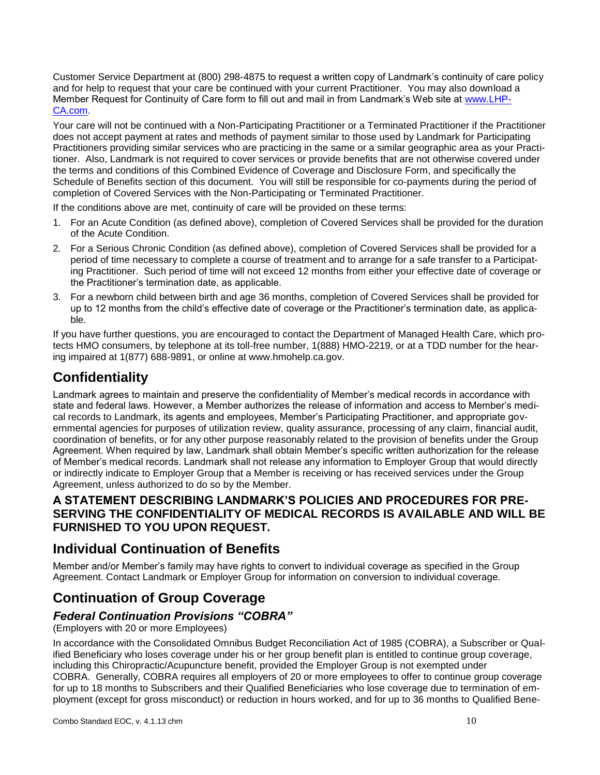Customer Service Department at (800) 298-4875 to request a written copy of Landmark's continuity of care policy and for help to request that your care be continued with your current Practitioner. You may also download a Member Request for Continuity of Care form to fill out and mail in from Landmark's Web site at [www.LHP-](http://www.lhp-ca.com/)[CA.com.](http://www.lhp-ca.com/)

Your care will not be continued with a Non-Participating Practitioner or a Terminated Practitioner if the Practitioner does not accept payment at rates and methods of payment similar to those used by Landmark for Participating Practitioners providing similar services who are practicing in the same or a similar geographic area as your Practitioner. Also, Landmark is not required to cover services or provide benefits that are not otherwise covered under the terms and conditions of this Combined Evidence of Coverage and Disclosure Form, and specifically the Schedule of Benefits section of this document. You will still be responsible for co-payments during the period of completion of Covered Services with the Non-Participating or Terminated Practitioner.

If the conditions above are met, continuity of care will be provided on these terms:

- 1. For an Acute Condition (as defined above), completion of Covered Services shall be provided for the duration of the Acute Condition.
- 2. For a Serious Chronic Condition (as defined above), completion of Covered Services shall be provided for a period of time necessary to complete a course of treatment and to arrange for a safe transfer to a Participating Practitioner. Such period of time will not exceed 12 months from either your effective date of coverage or the Practitioner's termination date, as applicable.
- 3. For a newborn child between birth and age 36 months, completion of Covered Services shall be provided for up to 12 months from the child's effective date of coverage or the Practitioner's termination date, as applicable.

If you have further questions, you are encouraged to contact the Department of Managed Health Care, which protects HMO consumers, by telephone at its toll-free number, 1(888) HMO-2219, or at a TDD number for the hearing impaired at 1(877) 688-9891, or online at www.hmohelp.ca.gov.

# **Confidentiality**

Landmark agrees to maintain and preserve the confidentiality of Member's medical records in accordance with state and federal laws. However, a Member authorizes the release of information and access to Member's medical records to Landmark, its agents and employees, Member's Participating Practitioner, and appropriate governmental agencies for purposes of utilization review, quality assurance, processing of any claim, financial audit, coordination of benefits, or for any other purpose reasonably related to the provision of benefits under the Group Agreement. When required by law, Landmark shall obtain Member's specific written authorization for the release of Member's medical records. Landmark shall not release any information to Employer Group that would directly or indirectly indicate to Employer Group that a Member is receiving or has received services under the Group Agreement, unless authorized to do so by the Member.

### **A STATEMENT DESCRIBING LANDMARK'S POLICIES AND PROCEDURES FOR PRE-SERVING THE CONFIDENTIALITY OF MEDICAL RECORDS IS AVAILABLE AND WILL BE FURNISHED TO YOU UPON REQUEST.**

## **Individual Continuation of Benefits**

Member and/or Member's family may have rights to convert to individual coverage as specified in the Group Agreement. Contact Landmark or Employer Group for information on conversion to individual coverage.

# **Continuation of Group Coverage**

### *Federal Continuation Provisions "COBRA"*

(Employers with 20 or more Employees)

In accordance with the Consolidated Omnibus Budget Reconciliation Act of 1985 (COBRA), a Subscriber or Qualified Beneficiary who loses coverage under his or her group benefit plan is entitled to continue group coverage, including this Chiropractic/Acupuncture benefit, provided the Employer Group is not exempted under COBRA. Generally, COBRA requires all employers of 20 or more employees to offer to continue group coverage for up to 18 months to Subscribers and their Qualified Beneficiaries who lose coverage due to termination of employment (except for gross misconduct) or reduction in hours worked, and for up to 36 months to Qualified Bene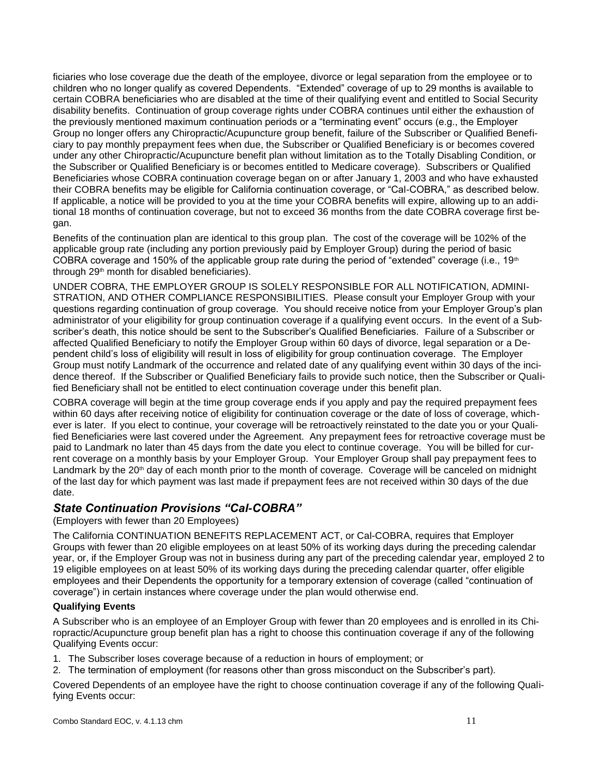ficiaries who lose coverage due the death of the employee, divorce or legal separation from the employee or to children who no longer qualify as covered Dependents. "Extended" coverage of up to 29 months is available to certain COBRA beneficiaries who are disabled at the time of their qualifying event and entitled to Social Security disability benefits. Continuation of group coverage rights under COBRA continues until either the exhaustion of the previously mentioned maximum continuation periods or a "terminating event" occurs (e.g., the Employer Group no longer offers any Chiropractic/Acupuncture group benefit, failure of the Subscriber or Qualified Beneficiary to pay monthly prepayment fees when due, the Subscriber or Qualified Beneficiary is or becomes covered under any other Chiropractic/Acupuncture benefit plan without limitation as to the Totally Disabling Condition, or the Subscriber or Qualified Beneficiary is or becomes entitled to Medicare coverage). Subscribers or Qualified Beneficiaries whose COBRA continuation coverage began on or after January 1, 2003 and who have exhausted their COBRA benefits may be eligible for California continuation coverage, or "Cal-COBRA," as described below. If applicable, a notice will be provided to you at the time your COBRA benefits will expire, allowing up to an additional 18 months of continuation coverage, but not to exceed 36 months from the date COBRA coverage first began.

Benefits of the continuation plan are identical to this group plan. The cost of the coverage will be 102% of the applicable group rate (including any portion previously paid by Employer Group) during the period of basic COBRA coverage and 150% of the applicable group rate during the period of "extended" coverage (i.e., 19<sup>th</sup>) through 29<sup>th</sup> month for disabled beneficiaries).

UNDER COBRA, THE EMPLOYER GROUP IS SOLELY RESPONSIBLE FOR ALL NOTIFICATION, ADMINI-STRATION, AND OTHER COMPLIANCE RESPONSIBILITIES. Please consult your Employer Group with your questions regarding continuation of group coverage. You should receive notice from your Employer Group's plan administrator of your eligibility for group continuation coverage if a qualifying event occurs. In the event of a Subscriber's death, this notice should be sent to the Subscriber's Qualified Beneficiaries.Failure of a Subscriber or affected Qualified Beneficiary to notify the Employer Group within 60 days of divorce, legal separation or a Dependent child's loss of eligibility will result in loss of eligibility for group continuation coverage.The Employer Group must notify Landmark of the occurrence and related date of any qualifying event within 30 days of the incidence thereof. If the Subscriber or Qualified Beneficiary fails to provide such notice, then the Subscriber or Qualified Beneficiary shall not be entitled to elect continuation coverage under this benefit plan.

COBRA coverage will begin at the time group coverage ends if you apply and pay the required prepayment fees within 60 days after receiving notice of eligibility for continuation coverage or the date of loss of coverage, whichever is later. If you elect to continue, your coverage will be retroactively reinstated to the date you or your Qualified Beneficiaries were last covered under the Agreement. Any prepayment fees for retroactive coverage must be paid to Landmark no later than 45 days from the date you elect to continue coverage. You will be billed for current coverage on a monthly basis by your Employer Group. Your Employer Group shall pay prepayment fees to Landmark by the 20<sup>th</sup> day of each month prior to the month of coverage. Coverage will be canceled on midnight of the last day for which payment was last made if prepayment fees are not received within 30 days of the due date.

### *State Continuation Provisions "Cal-COBRA"*

(Employers with fewer than 20 Employees)

The California CONTINUATION BENEFITS REPLACEMENT ACT, or Cal-COBRA, requires that Employer Groups with fewer than 20 eligible employees on at least 50% of its working days during the preceding calendar year, or, if the Employer Group was not in business during any part of the preceding calendar year, employed 2 to 19 eligible employees on at least 50% of its working days during the preceding calendar quarter, offer eligible employees and their Dependents the opportunity for a temporary extension of coverage (called "continuation of coverage") in certain instances where coverage under the plan would otherwise end.

#### **Qualifying Events**

A Subscriber who is an employee of an Employer Group with fewer than 20 employees and is enrolled in its Chiropractic/Acupuncture group benefit plan has a right to choose this continuation coverage if any of the following Qualifying Events occur:

- 1. The Subscriber loses coverage because of a reduction in hours of employment; or
- 2. The termination of employment (for reasons other than gross misconduct on the Subscriber's part).

Covered Dependents of an employee have the right to choose continuation coverage if any of the following Qualifying Events occur: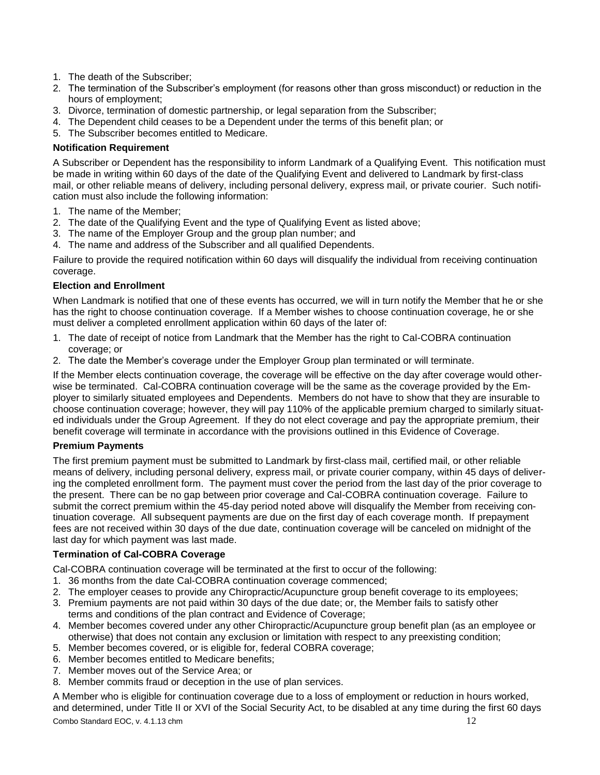- 1. The death of the Subscriber;
- 2. The termination of the Subscriber's employment (for reasons other than gross misconduct) or reduction in the hours of employment;
- 3. Divorce, termination of domestic partnership, or legal separation from the Subscriber;
- 4. The Dependent child ceases to be a Dependent under the terms of this benefit plan; or
- 5. The Subscriber becomes entitled to Medicare.

#### **Notification Requirement**

A Subscriber or Dependent has the responsibility to inform Landmark of a Qualifying Event. This notification must be made in writing within 60 days of the date of the Qualifying Event and delivered to Landmark by first-class mail, or other reliable means of delivery, including personal delivery, express mail, or private courier. Such notification must also include the following information:

- 1. The name of the Member;
- 2. The date of the Qualifying Event and the type of Qualifying Event as listed above;
- 3. The name of the Employer Group and the group plan number; and
- 4. The name and address of the Subscriber and all qualified Dependents.

Failure to provide the required notification within 60 days will disqualify the individual from receiving continuation coverage.

#### **Election and Enrollment**

When Landmark is notified that one of these events has occurred, we will in turn notify the Member that he or she has the right to choose continuation coverage. If a Member wishes to choose continuation coverage, he or she must deliver a completed enrollment application within 60 days of the later of:

- 1. The date of receipt of notice from Landmark that the Member has the right to Cal-COBRA continuation coverage; or
- 2. The date the Member's coverage under the Employer Group plan terminated or will terminate.

If the Member elects continuation coverage, the coverage will be effective on the day after coverage would otherwise be terminated. Cal-COBRA continuation coverage will be the same as the coverage provided by the Employer to similarly situated employees and Dependents. Members do not have to show that they are insurable to choose continuation coverage; however, they will pay 110% of the applicable premium charged to similarly situated individuals under the Group Agreement. If they do not elect coverage and pay the appropriate premium, their benefit coverage will terminate in accordance with the provisions outlined in this Evidence of Coverage.

#### **Premium Payments**

The first premium payment must be submitted to Landmark by first-class mail, certified mail, or other reliable means of delivery, including personal delivery, express mail, or private courier company, within 45 days of delivering the completed enrollment form. The payment must cover the period from the last day of the prior coverage to the present. There can be no gap between prior coverage and Cal-COBRA continuation coverage. Failure to submit the correct premium within the 45-day period noted above will disqualify the Member from receiving continuation coverage. All subsequent payments are due on the first day of each coverage month. If prepayment fees are not received within 30 days of the due date, continuation coverage will be canceled on midnight of the last day for which payment was last made.

#### **Termination of Cal-COBRA Coverage**

Cal-COBRA continuation coverage will be terminated at the first to occur of the following:

- 1. 36 months from the date Cal-COBRA continuation coverage commenced;
- 2. The employer ceases to provide any Chiropractic/Acupuncture group benefit coverage to its employees;
- 3. Premium payments are not paid within 30 days of the due date; or, the Member fails to satisfy other terms and conditions of the plan contract and Evidence of Coverage;
- 4. Member becomes covered under any other Chiropractic/Acupuncture group benefit plan (as an employee or otherwise) that does not contain any exclusion or limitation with respect to any preexisting condition;
- 5. Member becomes covered, or is eligible for, federal COBRA coverage;
- 6. Member becomes entitled to Medicare benefits;
- 7. Member moves out of the Service Area; or
- 8. Member commits fraud or deception in the use of plan services.

Combo Standard EOC, v. 4.1.13 chm 12 A Member who is eligible for continuation coverage due to a loss of employment or reduction in hours worked, and determined, under Title II or XVI of the Social Security Act, to be disabled at any time during the first 60 days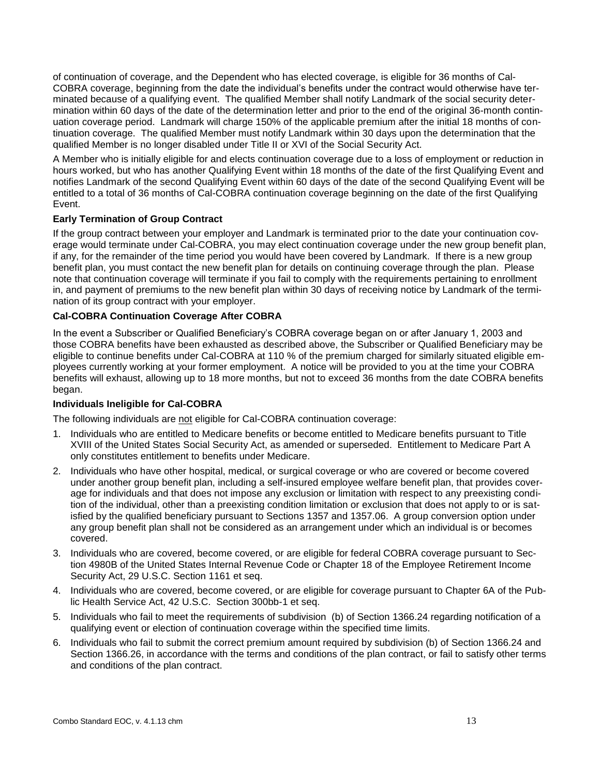of continuation of coverage, and the Dependent who has elected coverage, is eligible for 36 months of Cal-COBRA coverage, beginning from the date the individual's benefits under the contract would otherwise have terminated because of a qualifying event. The qualified Member shall notify Landmark of the social security determination within 60 days of the date of the determination letter and prior to the end of the original 36-month continuation coverage period. Landmark will charge 150% of the applicable premium after the initial 18 months of continuation coverage. The qualified Member must notify Landmark within 30 days upon the determination that the qualified Member is no longer disabled under Title II or XVI of the Social Security Act.

A Member who is initially eligible for and elects continuation coverage due to a loss of employment or reduction in hours worked, but who has another Qualifying Event within 18 months of the date of the first Qualifying Event and notifies Landmark of the second Qualifying Event within 60 days of the date of the second Qualifying Event will be entitled to a total of 36 months of Cal-COBRA continuation coverage beginning on the date of the first Qualifying Event.

#### **Early Termination of Group Contract**

If the group contract between your employer and Landmark is terminated prior to the date your continuation coverage would terminate under Cal-COBRA, you may elect continuation coverage under the new group benefit plan, if any, for the remainder of the time period you would have been covered by Landmark. If there is a new group benefit plan, you must contact the new benefit plan for details on continuing coverage through the plan. Please note that continuation coverage will terminate if you fail to comply with the requirements pertaining to enrollment in, and payment of premiums to the new benefit plan within 30 days of receiving notice by Landmark of the termination of its group contract with your employer.

#### **Cal-COBRA Continuation Coverage After COBRA**

In the event a Subscriber or Qualified Beneficiary's COBRA coverage began on or after January 1, 2003 and those COBRA benefits have been exhausted as described above, the Subscriber or Qualified Beneficiary may be eligible to continue benefits under Cal-COBRA at 110 % of the premium charged for similarly situated eligible employees currently working at your former employment. A notice will be provided to you at the time your COBRA benefits will exhaust, allowing up to 18 more months, but not to exceed 36 months from the date COBRA benefits began.

#### **Individuals Ineligible for Cal-COBRA**

The following individuals are not eligible for Cal-COBRA continuation coverage:

- 1. Individuals who are entitled to Medicare benefits or become entitled to Medicare benefits pursuant to Title XVIII of the United States Social Security Act, as amended or superseded. Entitlement to Medicare Part A only constitutes entitlement to benefits under Medicare.
- 2. Individuals who have other hospital, medical, or surgical coverage or who are covered or become covered under another group benefit plan, including a self-insured employee welfare benefit plan, that provides coverage for individuals and that does not impose any exclusion or limitation with respect to any preexisting condition of the individual, other than a preexisting condition limitation or exclusion that does not apply to or is satisfied by the qualified beneficiary pursuant to Sections 1357 and 1357.06. A group conversion option under any group benefit plan shall not be considered as an arrangement under which an individual is or becomes covered.
- 3. Individuals who are covered, become covered, or are eligible for federal COBRA coverage pursuant to [Sec](http://www.westlaw.com/Find/Default.wl?rs=dfa1.0&vr=2.0&DB=1000546&DocName=26USCAS4980B&FindType=L)[tion 4980B of the United States Internal Revenue Code](http://www.westlaw.com/Find/Default.wl?rs=dfa1.0&vr=2.0&DB=1000546&DocName=26USCAS4980B&FindType=L) or Chapter 18 of the Employee Retirement Income Security Act, [29 U.S.C. Section 1161](http://www.westlaw.com/Find/Default.wl?rs=dfa1.0&vr=2.0&DB=1000546&DocName=29USCAS1161&FindType=L) et seq.
- 4. Individuals who are covered, become covered, or are eligible for coverage pursuant to Chapter 6A of the Public Health Service Act, 42 U.S.C. Section 300bb-1 et seq.
- 5. Individuals who fail to meet the requirements of subdivision (b) of Section 1366.24 regarding notification of a qualifying event or election of continuation coverage within the specified time limits.
- 6. Individuals who fail to submit the correct premium amount required by subdivision (b) of Section 1366.24 and Section 1366.26, in accordance with the terms and conditions of the plan contract, or fail to satisfy other terms and conditions of the plan contract.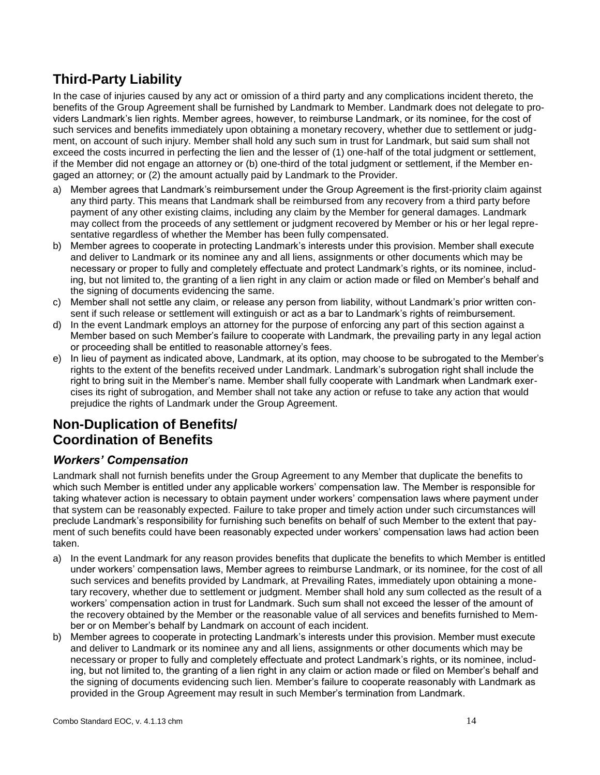# **Third-Party Liability**

In the case of injuries caused by any act or omission of a third party and any complications incident thereto, the benefits of the Group Agreement shall be furnished by Landmark to Member. Landmark does not delegate to providers Landmark's lien rights. Member agrees, however, to reimburse Landmark, or its nominee, for the cost of such services and benefits immediately upon obtaining a monetary recovery, whether due to settlement or judgment, on account of such injury. Member shall hold any such sum in trust for Landmark, but said sum shall not exceed the costs incurred in perfecting the lien and the lesser of (1) one-half of the total judgment or settlement, if the Member did not engage an attorney or (b) one-third of the total judgment or settlement, if the Member engaged an attorney; or (2) the amount actually paid by Landmark to the Provider.

- a) Member agrees that Landmark's reimbursement under the Group Agreement is the first-priority claim against any third party. This means that Landmark shall be reimbursed from any recovery from a third party before payment of any other existing claims, including any claim by the Member for general damages. Landmark may collect from the proceeds of any settlement or judgment recovered by Member or his or her legal representative regardless of whether the Member has been fully compensated.
- b) Member agrees to cooperate in protecting Landmark's interests under this provision. Member shall execute and deliver to Landmark or its nominee any and all liens, assignments or other documents which may be necessary or proper to fully and completely effectuate and protect Landmark's rights, or its nominee, including, but not limited to, the granting of a lien right in any claim or action made or filed on Member's behalf and the signing of documents evidencing the same.
- c) Member shall not settle any claim, or release any person from liability, without Landmark's prior written consent if such release or settlement will extinguish or act as a bar to Landmark's rights of reimbursement.
- d) In the event Landmark employs an attorney for the purpose of enforcing any part of this section against a Member based on such Member's failure to cooperate with Landmark, the prevailing party in any legal action or proceeding shall be entitled to reasonable attorney's fees.
- e) In lieu of payment as indicated above, Landmark, at its option, may choose to be subrogated to the Member's rights to the extent of the benefits received under Landmark. Landmark's subrogation right shall include the right to bring suit in the Member's name. Member shall fully cooperate with Landmark when Landmark exercises its right of subrogation, and Member shall not take any action or refuse to take any action that would prejudice the rights of Landmark under the Group Agreement.

## **Non-Duplication of Benefits/ Coordination of Benefits**

### *Workers' Compensation*

Landmark shall not furnish benefits under the Group Agreement to any Member that duplicate the benefits to which such Member is entitled under any applicable workers' compensation law. The Member is responsible for taking whatever action is necessary to obtain payment under workers' compensation laws where payment under that system can be reasonably expected. Failure to take proper and timely action under such circumstances will preclude Landmark's responsibility for furnishing such benefits on behalf of such Member to the extent that payment of such benefits could have been reasonably expected under workers' compensation laws had action been taken.

- a) In the event Landmark for any reason provides benefits that duplicate the benefits to which Member is entitled under workers' compensation laws, Member agrees to reimburse Landmark, or its nominee, for the cost of all such services and benefits provided by Landmark, at Prevailing Rates, immediately upon obtaining a monetary recovery, whether due to settlement or judgment. Member shall hold any sum collected as the result of a workers' compensation action in trust for Landmark. Such sum shall not exceed the lesser of the amount of the recovery obtained by the Member or the reasonable value of all services and benefits furnished to Member or on Member's behalf by Landmark on account of each incident.
- b) Member agrees to cooperate in protecting Landmark's interests under this provision. Member must execute and deliver to Landmark or its nominee any and all liens, assignments or other documents which may be necessary or proper to fully and completely effectuate and protect Landmark's rights, or its nominee, including, but not limited to, the granting of a lien right in any claim or action made or filed on Member's behalf and the signing of documents evidencing such lien. Member's failure to cooperate reasonably with Landmark as provided in the Group Agreement may result in such Member's termination from Landmark.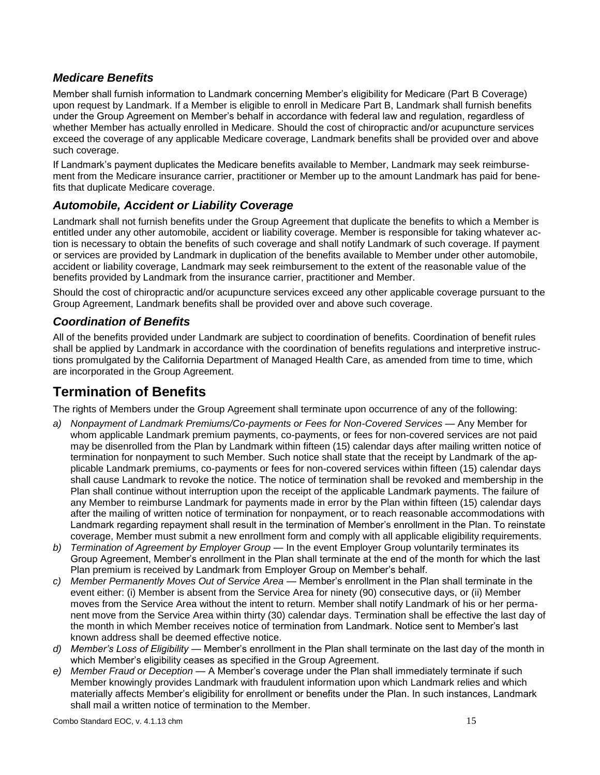### *Medicare Benefits*

Member shall furnish information to Landmark concerning Member's eligibility for Medicare (Part B Coverage) upon request by Landmark. If a Member is eligible to enroll in Medicare Part B, Landmark shall furnish benefits under the Group Agreement on Member's behalf in accordance with federal law and regulation, regardless of whether Member has actually enrolled in Medicare. Should the cost of chiropractic and/or acupuncture services exceed the coverage of any applicable Medicare coverage, Landmark benefits shall be provided over and above such coverage.

If Landmark's payment duplicates the Medicare benefits available to Member, Landmark may seek reimbursement from the Medicare insurance carrier, practitioner or Member up to the amount Landmark has paid for benefits that duplicate Medicare coverage.

### *Automobile, Accident or Liability Coverage*

Landmark shall not furnish benefits under the Group Agreement that duplicate the benefits to which a Member is entitled under any other automobile, accident or liability coverage. Member is responsible for taking whatever action is necessary to obtain the benefits of such coverage and shall notify Landmark of such coverage. If payment or services are provided by Landmark in duplication of the benefits available to Member under other automobile, accident or liability coverage, Landmark may seek reimbursement to the extent of the reasonable value of the benefits provided by Landmark from the insurance carrier, practitioner and Member.

Should the cost of chiropractic and/or acupuncture services exceed any other applicable coverage pursuant to the Group Agreement, Landmark benefits shall be provided over and above such coverage.

### *Coordination of Benefits*

All of the benefits provided under Landmark are subject to coordination of benefits. Coordination of benefit rules shall be applied by Landmark in accordance with the coordination of benefits regulations and interpretive instructions promulgated by the California Department of Managed Health Care, as amended from time to time, which are incorporated in the Group Agreement.

## **Termination of Benefits**

The rights of Members under the Group Agreement shall terminate upon occurrence of any of the following:

- a) Nonpayment of Landmark Premiums/Co-payments or Fees for Non-Covered Services Any Member for whom applicable Landmark premium payments, co-payments, or fees for non-covered services are not paid may be disenrolled from the Plan by Landmark within fifteen (15) calendar days after mailing written notice of termination for nonpayment to such Member. Such notice shall state that the receipt by Landmark of the applicable Landmark premiums, co-payments or fees for non-covered services within fifteen (15) calendar days shall cause Landmark to revoke the notice. The notice of termination shall be revoked and membership in the Plan shall continue without interruption upon the receipt of the applicable Landmark payments. The failure of any Member to reimburse Landmark for payments made in error by the Plan within fifteen (15) calendar days after the mailing of written notice of termination for nonpayment, or to reach reasonable accommodations with Landmark regarding repayment shall result in the termination of Member's enrollment in the Plan. To reinstate coverage, Member must submit a new enrollment form and comply with all applicable eligibility requirements.
- *b) Termination of Agreement by Employer Group* In the event Employer Group voluntarily terminates its Group Agreement, Member's enrollment in the Plan shall terminate at the end of the month for which the last Plan premium is received by Landmark from Employer Group on Member's behalf.
- *c) Member Permanently Moves Out of Service Area*  Member's enrollment in the Plan shall terminate in the event either: (i) Member is absent from the Service Area for ninety (90) consecutive days, or (ii) Member moves from the Service Area without the intent to return. Member shall notify Landmark of his or her permanent move from the Service Area within thirty (30) calendar days. Termination shall be effective the last day of the month in which Member receives notice of termination from Landmark. Notice sent to Member's last known address shall be deemed effective notice.
- *d) Member's Loss of Eligibility*  Member's enrollment in the Plan shall terminate on the last day of the month in which Member's eligibility ceases as specified in the Group Agreement.
- *e) Member Fraud or Deception*  A Member's coverage under the Plan shall immediately terminate if such Member knowingly provides Landmark with fraudulent information upon which Landmark relies and which materially affects Member's eligibility for enrollment or benefits under the Plan. In such instances, Landmark shall mail a written notice of termination to the Member.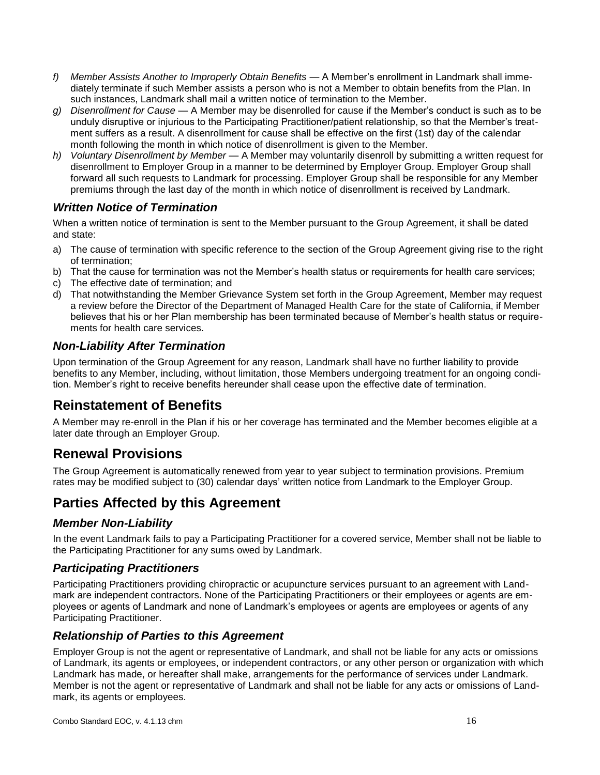- *f) Member Assists Another to Improperly Obtain Benefits*  A Member's enrollment in Landmark shall immediately terminate if such Member assists a person who is not a Member to obtain benefits from the Plan. In such instances, Landmark shall mail a written notice of termination to the Member.
- *g) Disenrollment for Cause*  A Member may be disenrolled for cause if the Member's conduct is such as to be unduly disruptive or injurious to the Participating Practitioner/patient relationship, so that the Member's treatment suffers as a result. A disenrollment for cause shall be effective on the first (1st) day of the calendar month following the month in which notice of disenrollment is given to the Member.
- *h) Voluntary Disenrollment by Member*  A Member may voluntarily disenroll by submitting a written request for disenrollment to Employer Group in a manner to be determined by Employer Group. Employer Group shall forward all such requests to Landmark for processing. Employer Group shall be responsible for any Member premiums through the last day of the month in which notice of disenrollment is received by Landmark.

## *Written Notice of Termination*

When a written notice of termination is sent to the Member pursuant to the Group Agreement, it shall be dated and state:

- a) The cause of termination with specific reference to the section of the Group Agreement giving rise to the right of termination;
- b) That the cause for termination was not the Member's health status or requirements for health care services;
- c) The effective date of termination; and
- d) That notwithstanding the Member Grievance System set forth in the Group Agreement, Member may request a review before the Director of the Department of Managed Health Care for the state of California, if Member believes that his or her Plan membership has been terminated because of Member's health status or requirements for health care services.

### *Non-Liability After Termination*

Upon termination of the Group Agreement for any reason, Landmark shall have no further liability to provide benefits to any Member, including, without limitation, those Members undergoing treatment for an ongoing condition. Member's right to receive benefits hereunder shall cease upon the effective date of termination.

## **Reinstatement of Benefits**

A Member may re-enroll in the Plan if his or her coverage has terminated and the Member becomes eligible at a later date through an Employer Group.

## **Renewal Provisions**

The Group Agreement is automatically renewed from year to year subject to termination provisions. Premium rates may be modified subject to (30) calendar days' written notice from Landmark to the Employer Group.

## **Parties Affected by this Agreement**

#### *Member Non-Liability*

In the event Landmark fails to pay a Participating Practitioner for a covered service, Member shall not be liable to the Participating Practitioner for any sums owed by Landmark.

### *Participating Practitioners*

Participating Practitioners providing chiropractic or acupuncture services pursuant to an agreement with Landmark are independent contractors. None of the Participating Practitioners or their employees or agents are employees or agents of Landmark and none of Landmark's employees or agents are employees or agents of any Participating Practitioner.

#### *Relationship of Parties to this Agreement*

Employer Group is not the agent or representative of Landmark, and shall not be liable for any acts or omissions of Landmark, its agents or employees, or independent contractors, or any other person or organization with which Landmark has made, or hereafter shall make, arrangements for the performance of services under Landmark. Member is not the agent or representative of Landmark and shall not be liable for any acts or omissions of Landmark, its agents or employees.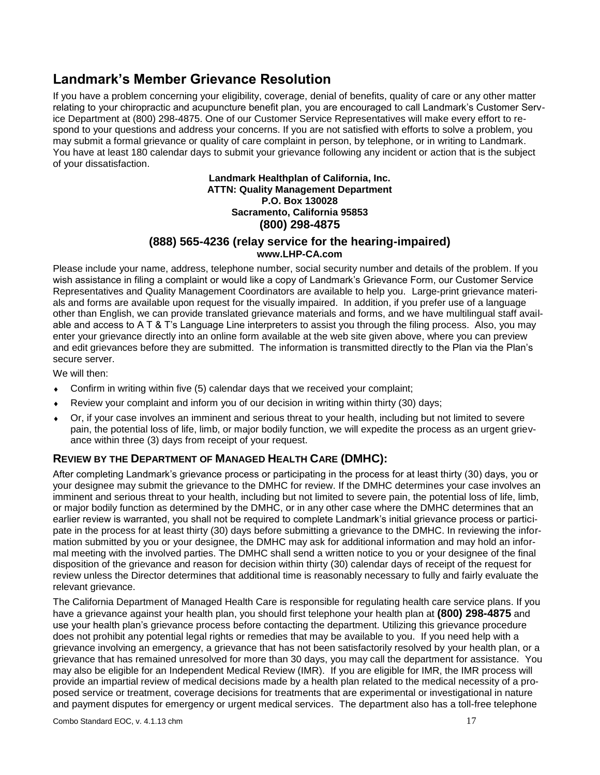## **Landmark's Member Grievance Resolution**

If you have a problem concerning your eligibility, coverage, denial of benefits, quality of care or any other matter relating to your chiropractic and acupuncture benefit plan, you are encouraged to call Landmark's Customer Service Department at (800) 298-4875. One of our Customer Service Representatives will make every effort to respond to your questions and address your concerns. If you are not satisfied with efforts to solve a problem, you may submit a formal grievance or quality of care complaint in person, by telephone, or in writing to Landmark. You have at least 180 calendar days to submit your grievance following any incident or action that is the subject of your dissatisfaction.

#### **Landmark Healthplan of California, Inc. ATTN: Quality Management Department P.O. Box 130028 Sacramento, California 95853 (800) 298-4875**

#### **(888) 565-4236 (relay service for the hearing-impaired) www.LHP-CA.com**

Please include your name, address, telephone number, social security number and details of the problem. If you wish assistance in filing a complaint or would like a copy of Landmark's Grievance Form, our Customer Service Representatives and Quality Management Coordinators are available to help you. Large-print grievance materials and forms are available upon request for the visually impaired. In addition, if you prefer use of a language other than English, we can provide translated grievance materials and forms, and we have multilingual staff available and access to A T & T's Language Line interpreters to assist you through the filing process. Also, you may enter your grievance directly into an online form available at the web site given above, where you can preview and edit grievances before they are submitted. The information is transmitted directly to the Plan via the Plan's secure server.

We will then:

- Confirm in writing within five (5) calendar days that we received your complaint;
- Review your complaint and inform you of our decision in writing within thirty (30) days;
- Or, if your case involves an imminent and serious threat to your health, including but not limited to severe pain, the potential loss of life, limb, or major bodily function, we will expedite the process as an urgent grievance within three (3) days from receipt of your request.

#### **REVIEW BY THE DEPARTMENT OF MANAGED HEALTH CARE (DMHC):**

After completing Landmark's grievance process or participating in the process for at least thirty (30) days, you or your designee may submit the grievance to the DMHC for review. If the DMHC determines your case involves an imminent and serious threat to your health, including but not limited to severe pain, the potential loss of life, limb, or major bodily function as determined by the DMHC, or in any other case where the DMHC determines that an earlier review is warranted, you shall not be required to complete Landmark's initial grievance process or participate in the process for at least thirty (30) days before submitting a grievance to the DMHC. In reviewing the information submitted by you or your designee, the DMHC may ask for additional information and may hold an informal meeting with the involved parties. The DMHC shall send a written notice to you or your designee of the final disposition of the grievance and reason for decision within thirty (30) calendar days of receipt of the request for review unless the Director determines that additional time is reasonably necessary to fully and fairly evaluate the relevant grievance.

The California Department of Managed Health Care is responsible for regulating health care service plans. If you have a grievance against your health plan, you should first telephone your health plan at **(800) 298-4875** and use your health plan's grievance process before contacting the department. Utilizing this grievance procedure does not prohibit any potential legal rights or remedies that may be available to you. If you need help with a grievance involving an emergency, a grievance that has not been satisfactorily resolved by your health plan, or a grievance that has remained unresolved for more than 30 days, you may call the department for assistance. You may also be eligible for an Independent Medical Review (IMR). If you are eligible for IMR, the IMR process will provide an impartial review of medical decisions made by a health plan related to the medical necessity of a proposed service or treatment, coverage decisions for treatments that are experimental or investigational in nature and payment disputes for emergency or urgent medical services. The department also has a toll-free telephone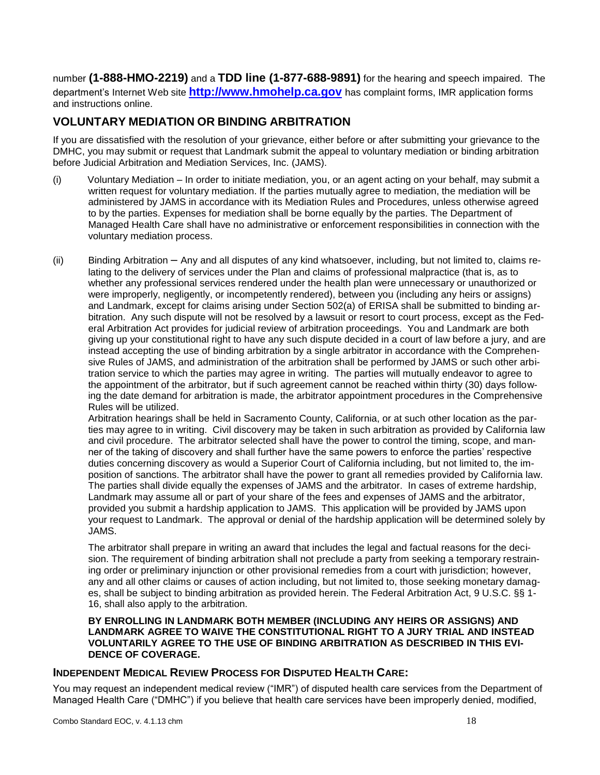number **(1-888-HMO-2219)** and a **TDD line (1-877-688-9891)** for the hearing and speech impaired. The department's Internet Web site **[http://www.hmohelp.ca.gov](http://www.hmohelp.ca.gov/)** has complaint forms, IMR application forms and instructions online.

#### **VOLUNTARY MEDIATION OR BINDING ARBITRATION**

If you are dissatisfied with the resolution of your grievance, either before or after submitting your grievance to the DMHC, you may submit or request that Landmark submit the appeal to voluntary mediation or binding arbitration before Judicial Arbitration and Mediation Services, Inc. (JAMS).

- (i) Voluntary Mediation In order to initiate mediation, you, or an agent acting on your behalf, may submit a written request for voluntary mediation. If the parties mutually agree to mediation, the mediation will be administered by JAMS in accordance with its Mediation Rules and Procedures, unless otherwise agreed to by the parties. Expenses for mediation shall be borne equally by the parties. The Department of Managed Health Care shall have no administrative or enforcement responsibilities in connection with the voluntary mediation process.
- (ii) Binding Arbitration Any and all disputes of any kind whatsoever, including, but not limited to, claims relating to the delivery of services under the Plan and claims of professional malpractice (that is, as to whether any professional services rendered under the health plan were unnecessary or unauthorized or were improperly, negligently, or incompetently rendered), between you (including any heirs or assigns) and Landmark, except for claims arising under Section 502(a) of ERISA shall be submitted to binding arbitration. Any such dispute will not be resolved by a lawsuit or resort to court process, except as the Federal Arbitration Act provides for judicial review of arbitration proceedings. You and Landmark are both giving up your constitutional right to have any such dispute decided in a court of law before a jury, and are instead accepting the use of binding arbitration by a single arbitrator in accordance with the Comprehensive Rules of JAMS, and administration of the arbitration shall be performed by JAMS or such other arbitration service to which the parties may agree in writing. The parties will mutually endeavor to agree to the appointment of the arbitrator, but if such agreement cannot be reached within thirty (30) days following the date demand for arbitration is made, the arbitrator appointment procedures in the Comprehensive Rules will be utilized.

Arbitration hearings shall be held in Sacramento County, California, or at such other location as the parties may agree to in writing. Civil discovery may be taken in such arbitration as provided by California law and civil procedure. The arbitrator selected shall have the power to control the timing, scope, and manner of the taking of discovery and shall further have the same powers to enforce the parties' respective duties concerning discovery as would a Superior Court of California including, but not limited to, the imposition of sanctions. The arbitrator shall have the power to grant all remedies provided by California law. The parties shall divide equally the expenses of JAMS and the arbitrator. In cases of extreme hardship, Landmark may assume all or part of your share of the fees and expenses of JAMS and the arbitrator, provided you submit a hardship application to JAMS. This application will be provided by JAMS upon your request to Landmark. The approval or denial of the hardship application will be determined solely by JAMS.

The arbitrator shall prepare in writing an award that includes the legal and factual reasons for the decision. The requirement of binding arbitration shall not preclude a party from seeking a temporary restraining order or preliminary injunction or other provisional remedies from a court with jurisdiction; however, any and all other claims or causes of action including, but not limited to, those seeking monetary damages, shall be subject to binding arbitration as provided herein. The Federal Arbitration Act, 9 U.S.C. §§ 1- 16, shall also apply to the arbitration.

#### **BY ENROLLING IN LANDMARK BOTH MEMBER (INCLUDING ANY HEIRS OR ASSIGNS) AND LANDMARK AGREE TO WAIVE THE CONSTITUTIONAL RIGHT TO A JURY TRIAL AND INSTEAD VOLUNTARILY AGREE TO THE USE OF BINDING ARBITRATION AS DESCRIBED IN THIS EVI-DENCE OF COVERAGE.**

#### **INDEPENDENT MEDICAL REVIEW PROCESS FOR DISPUTED HEALTH CARE:**

You may request an independent medical review ("IMR") of disputed health care services from the Department of Managed Health Care ("DMHC") if you believe that health care services have been improperly denied, modified,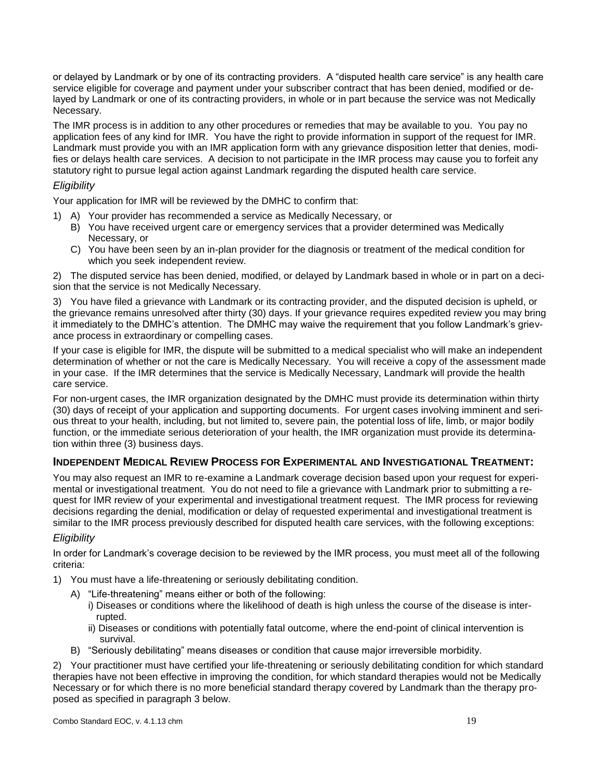or delayed by Landmark or by one of its contracting providers. A "disputed health care service" is any health care service eligible for coverage and payment under your subscriber contract that has been denied, modified or delayed by Landmark or one of its contracting providers, in whole or in part because the service was not Medically Necessary.

The IMR process is in addition to any other procedures or remedies that may be available to you. You pay no application fees of any kind for IMR. You have the right to provide information in support of the request for IMR. Landmark must provide you with an IMR application form with any grievance disposition letter that denies, modifies or delays health care services. A decision to not participate in the IMR process may cause you to forfeit any statutory right to pursue legal action against Landmark regarding the disputed health care service.

#### *Eligibility*

Your application for IMR will be reviewed by the DMHC to confirm that:

- 1) A) Your provider has recommended a service as Medically Necessary, or
	- B) You have received urgent care or emergency services that a provider determined was Medically Necessary, or
	- C) You have been seen by an in-plan provider for the diagnosis or treatment of the medical condition for which you seek independent review.

2) The disputed service has been denied, modified, or delayed by Landmark based in whole or in part on a decision that the service is not Medically Necessary.

3) You have filed a grievance with Landmark or its contracting provider, and the disputed decision is upheld, or the grievance remains unresolved after thirty (30) days. If your grievance requires expedited review you may bring it immediately to the DMHC's attention. The DMHC may waive the requirement that you follow Landmark's grievance process in extraordinary or compelling cases.

If your case is eligible for IMR, the dispute will be submitted to a medical specialist who will make an independent determination of whether or not the care is Medically Necessary. You will receive a copy of the assessment made in your case. If the IMR determines that the service is Medically Necessary, Landmark will provide the health care service.

For non-urgent cases, the IMR organization designated by the DMHC must provide its determination within thirty (30) days of receipt of your application and supporting documents. For urgent cases involving imminent and serious threat to your health, including, but not limited to, severe pain, the potential loss of life, limb, or major bodily function, or the immediate serious deterioration of your health, the IMR organization must provide its determination within three (3) business days.

#### **INDEPENDENT MEDICAL REVIEW PROCESS FOR EXPERIMENTAL AND INVESTIGATIONAL TREATMENT:**

You may also request an IMR to re-examine a Landmark coverage decision based upon your request for experimental or investigational treatment. You do not need to file a grievance with Landmark prior to submitting a request for IMR review of your experimental and investigational treatment request. The IMR process for reviewing decisions regarding the denial, modification or delay of requested experimental and investigational treatment is similar to the IMR process previously described for disputed health care services, with the following exceptions:

#### *Eligibility*

In order for Landmark's coverage decision to be reviewed by the IMR process, you must meet all of the following criteria:

- 1) You must have a life-threatening or seriously debilitating condition.
	- A) "Life-threatening" means either or both of the following:
		- i) Diseases or conditions where the likelihood of death is high unless the course of the disease is inter rupted.
		- ii) Diseases or conditions with potentially fatal outcome, where the end-point of clinical intervention is survival.
	- B) "Seriously debilitating" means diseases or condition that cause major irreversible morbidity.

2) Your practitioner must have certified your life-threatening or seriously debilitating condition for which standard therapies have not been effective in improving the condition, for which standard therapies would not be Medically Necessary or for which there is no more beneficial standard therapy covered by Landmark than the therapy proposed as specified in paragraph 3 below.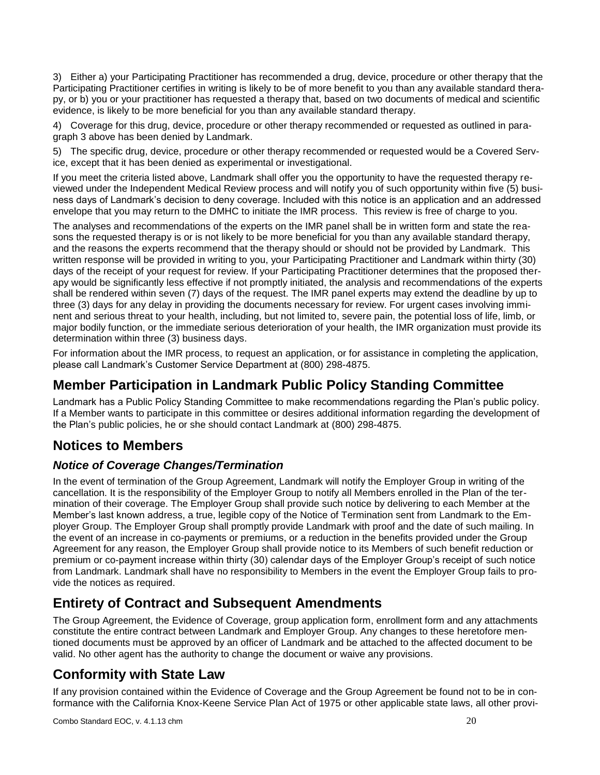3) Either a) your Participating Practitioner has recommended a drug, device, procedure or other therapy that the Participating Practitioner certifies in writing is likely to be of more benefit to you than any available standard therapy, or b) you or your practitioner has requested a therapy that, based on two documents of medical and scientific evidence, is likely to be more beneficial for you than any available standard therapy.

4) Coverage for this drug, device, procedure or other therapy recommended or requested as outlined in paragraph 3 above has been denied by Landmark.

5) The specific drug, device, procedure or other therapy recommended or requested would be a Covered Service, except that it has been denied as experimental or investigational.

If you meet the criteria listed above, Landmark shall offer you the opportunity to have the requested therapy reviewed under the Independent Medical Review process and will notify you of such opportunity within five (5) business days of Landmark's decision to deny coverage. Included with this notice is an application and an addressed envelope that you may return to the DMHC to initiate the IMR process. This review is free of charge to you.

The analyses and recommendations of the experts on the IMR panel shall be in written form and state the reasons the requested therapy is or is not likely to be more beneficial for you than any available standard therapy, and the reasons the experts recommend that the therapy should or should not be provided by Landmark. This written response will be provided in writing to you, your Participating Practitioner and Landmark within thirty (30) days of the receipt of your request for review. If your Participating Practitioner determines that the proposed therapy would be significantly less effective if not promptly initiated, the analysis and recommendations of the experts shall be rendered within seven (7) days of the request. The IMR panel experts may extend the deadline by up to three (3) days for any delay in providing the documents necessary for review. For urgent cases involving imminent and serious threat to your health, including, but not limited to, severe pain, the potential loss of life, limb, or major bodily function, or the immediate serious deterioration of your health, the IMR organization must provide its determination within three (3) business days.

For information about the IMR process, to request an application, or for assistance in completing the application, please call Landmark's Customer Service Department at (800) 298-4875.

## **Member Participation in Landmark Public Policy Standing Committee**

Landmark has a Public Policy Standing Committee to make recommendations regarding the Plan's public policy. If a Member wants to participate in this committee or desires additional information regarding the development of the Plan's public policies, he or she should contact Landmark at (800) 298-4875.

# **Notices to Members**

## *Notice of Coverage Changes/Termination*

In the event of termination of the Group Agreement, Landmark will notify the Employer Group in writing of the cancellation. It is the responsibility of the Employer Group to notify all Members enrolled in the Plan of the termination of their coverage. The Employer Group shall provide such notice by delivering to each Member at the Member's last known address, a true, legible copy of the Notice of Termination sent from Landmark to the Employer Group. The Employer Group shall promptly provide Landmark with proof and the date of such mailing. In the event of an increase in co-payments or premiums, or a reduction in the benefits provided under the Group Agreement for any reason, the Employer Group shall provide notice to its Members of such benefit reduction or premium or co-payment increase within thirty (30) calendar days of the Employer Group's receipt of such notice from Landmark. Landmark shall have no responsibility to Members in the event the Employer Group fails to provide the notices as required.

## **Entirety of Contract and Subsequent Amendments**

The Group Agreement, the Evidence of Coverage, group application form, enrollment form and any attachments constitute the entire contract between Landmark and Employer Group. Any changes to these heretofore mentioned documents must be approved by an officer of Landmark and be attached to the affected document to be valid. No other agent has the authority to change the document or waive any provisions.

# **Conformity with State Law**

If any provision contained within the Evidence of Coverage and the Group Agreement be found not to be in conformance with the California Knox-Keene Service Plan Act of 1975 or other applicable state laws, all other provi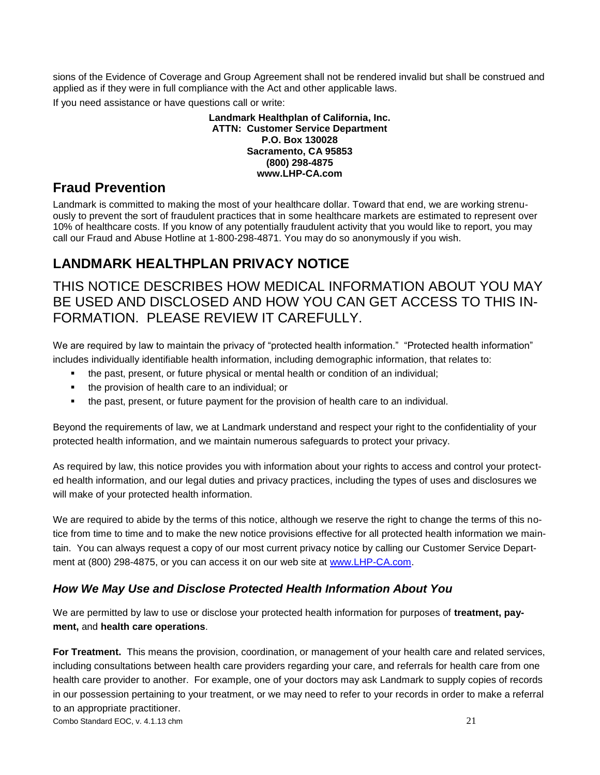sions of the Evidence of Coverage and Group Agreement shall not be rendered invalid but shall be construed and applied as if they were in full compliance with the Act and other applicable laws.

If you need assistance or have questions call or write:

#### **Landmark Healthplan of California, Inc. ATTN: Customer Service Department P.O. Box 130028 Sacramento, CA 95853 (800) 298-4875 www.LHP-CA.com**

## **Fraud Prevention**

Landmark is committed to making the most of your healthcare dollar. Toward that end, we are working strenuously to prevent the sort of fraudulent practices that in some healthcare markets are estimated to represent over 10% of healthcare costs. If you know of any potentially fraudulent activity that you would like to report, you may call our Fraud and Abuse Hotline at 1-800-298-4871. You may do so anonymously if you wish.

# **LANDMARK HEALTHPLAN PRIVACY NOTICE**

## THIS NOTICE DESCRIBES HOW MEDICAL INFORMATION ABOUT YOU MAY BE USED AND DISCLOSED AND HOW YOU CAN GET ACCESS TO THIS IN-FORMATION. PLEASE REVIEW IT CAREFULLY.

We are required by law to maintain the privacy of "protected health information." "Protected health information" includes individually identifiable health information, including demographic information, that relates to:

- the past, present, or future physical or mental health or condition of an individual;
- the provision of health care to an individual; or
- the past, present, or future payment for the provision of health care to an individual.

Beyond the requirements of law, we at Landmark understand and respect your right to the confidentiality of your protected health information, and we maintain numerous safeguards to protect your privacy.

As required by law, this notice provides you with information about your rights to access and control your protected health information, and our legal duties and privacy practices, including the types of uses and disclosures we will make of your protected health information.

We are required to abide by the terms of this notice, although we reserve the right to change the terms of this notice from time to time and to make the new notice provisions effective for all protected health information we maintain. You can always request a copy of our most current privacy notice by calling our Customer Service Department at (800) 298-4875, or you can access it on our web site at [www.LHP-CA.com.](http://www.lhp-ca.com/)

## *How We May Use and Disclose Protected Health Information About You*

We are permitted by law to use or disclose your protected health information for purposes of **treatment, payment,** and **health care operations**.

Combo Standard EOC, v. 4.1.13 chm 21 **For Treatment.** This means the provision, coordination, or management of your health care and related services, including consultations between health care providers regarding your care, and referrals for health care from one health care provider to another. For example, one of your doctors may ask Landmark to supply copies of records in our possession pertaining to your treatment, or we may need to refer to your records in order to make a referral to an appropriate practitioner.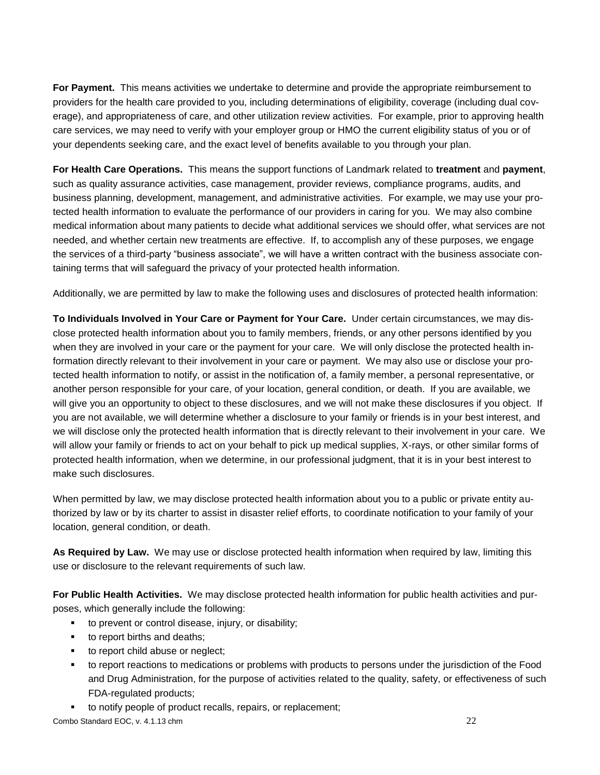**For Payment.** This means activities we undertake to determine and provide the appropriate reimbursement to providers for the health care provided to you, including determinations of eligibility, coverage (including dual coverage), and appropriateness of care, and other utilization review activities. For example, prior to approving health care services, we may need to verify with your employer group or HMO the current eligibility status of you or of your dependents seeking care, and the exact level of benefits available to you through your plan.

**For Health Care Operations.** This means the support functions of Landmark related to **treatment** and **payment**, such as quality assurance activities, case management, provider reviews, compliance programs, audits, and business planning, development, management, and administrative activities. For example, we may use your protected health information to evaluate the performance of our providers in caring for you. We may also combine medical information about many patients to decide what additional services we should offer, what services are not needed, and whether certain new treatments are effective. If, to accomplish any of these purposes, we engage the services of a third-party "business associate", we will have a written contract with the business associate containing terms that will safeguard the privacy of your protected health information.

Additionally, we are permitted by law to make the following uses and disclosures of protected health information:

**To Individuals Involved in Your Care or Payment for Your Care.** Under certain circumstances, we may disclose protected health information about you to family members, friends, or any other persons identified by you when they are involved in your care or the payment for your care. We will only disclose the protected health information directly relevant to their involvement in your care or payment. We may also use or disclose your protected health information to notify, or assist in the notification of, a family member, a personal representative, or another person responsible for your care, of your location, general condition, or death. If you are available, we will give you an opportunity to object to these disclosures, and we will not make these disclosures if you object. If you are not available, we will determine whether a disclosure to your family or friends is in your best interest, and we will disclose only the protected health information that is directly relevant to their involvement in your care. We will allow your family or friends to act on your behalf to pick up medical supplies, X-rays, or other similar forms of protected health information, when we determine, in our professional judgment, that it is in your best interest to make such disclosures.

When permitted by law, we may disclose protected health information about you to a public or private entity authorized by law or by its charter to assist in disaster relief efforts, to coordinate notification to your family of your location, general condition, or death.

**As Required by Law.** We may use or disclose protected health information when required by law, limiting this use or disclosure to the relevant requirements of such law.

**For Public Health Activities.** We may disclose protected health information for public health activities and purposes, which generally include the following:

- to prevent or control disease, injury, or disability;
- to report births and deaths;
- **to report child abuse or neglect;**
- to report reactions to medications or problems with products to persons under the jurisdiction of the Food and Drug Administration, for the purpose of activities related to the quality, safety, or effectiveness of such FDA-regulated products;
- to notify people of product recalls, repairs, or replacement;

Combo Standard EOC, v. 4.1.13 chm 22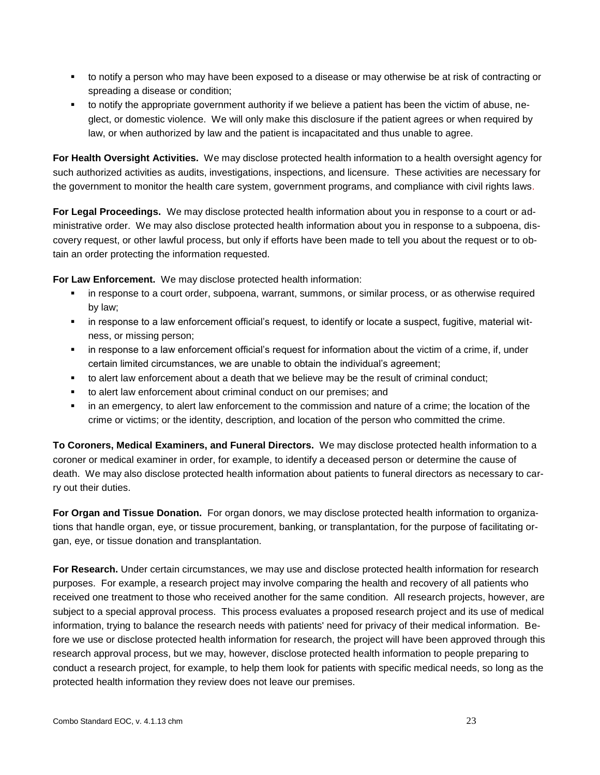- to notify a person who may have been exposed to a disease or may otherwise be at risk of contracting or spreading a disease or condition;
- to notify the appropriate government authority if we believe a patient has been the victim of abuse, neglect, or domestic violence. We will only make this disclosure if the patient agrees or when required by law, or when authorized by law and the patient is incapacitated and thus unable to agree.

**For Health Oversight Activities.** We may disclose protected health information to a health oversight agency for such authorized activities as audits, investigations, inspections, and licensure. These activities are necessary for the government to monitor the health care system, government programs, and compliance with civil rights laws.

**For Legal Proceedings.** We may disclose protected health information about you in response to a court or administrative order. We may also disclose protected health information about you in response to a subpoena, discovery request, or other lawful process, but only if efforts have been made to tell you about the request or to obtain an order protecting the information requested.

**For Law Enforcement.** We may disclose protected health information:

- in response to a court order, subpoena, warrant, summons, or similar process, or as otherwise required by law;
- in response to a law enforcement official's request, to identify or locate a suspect, fugitive, material witness, or missing person;
- in response to a law enforcement official's request for information about the victim of a crime, if, under certain limited circumstances, we are unable to obtain the individual's agreement;
- to alert law enforcement about a death that we believe may be the result of criminal conduct;
- to alert law enforcement about criminal conduct on our premises; and
- in an emergency, to alert law enforcement to the commission and nature of a crime; the location of the crime or victims; or the identity, description, and location of the person who committed the crime.

**To Coroners, Medical Examiners, and Funeral Directors.** We may disclose protected health information to a coroner or medical examiner in order, for example, to identify a deceased person or determine the cause of death. We may also disclose protected health information about patients to funeral directors as necessary to carry out their duties.

**For Organ and Tissue Donation.** For organ donors, we may disclose protected health information to organizations that handle organ, eye, or tissue procurement, banking, or transplantation, for the purpose of facilitating organ, eye, or tissue donation and transplantation.

**For Research.** Under certain circumstances, we may use and disclose protected health information for research purposes. For example, a research project may involve comparing the health and recovery of all patients who received one treatment to those who received another for the same condition. All research projects, however, are subject to a special approval process. This process evaluates a proposed research project and its use of medical information, trying to balance the research needs with patients' need for privacy of their medical information. Before we use or disclose protected health information for research, the project will have been approved through this research approval process, but we may, however, disclose protected health information to people preparing to conduct a research project, for example, to help them look for patients with specific medical needs, so long as the protected health information they review does not leave our premises.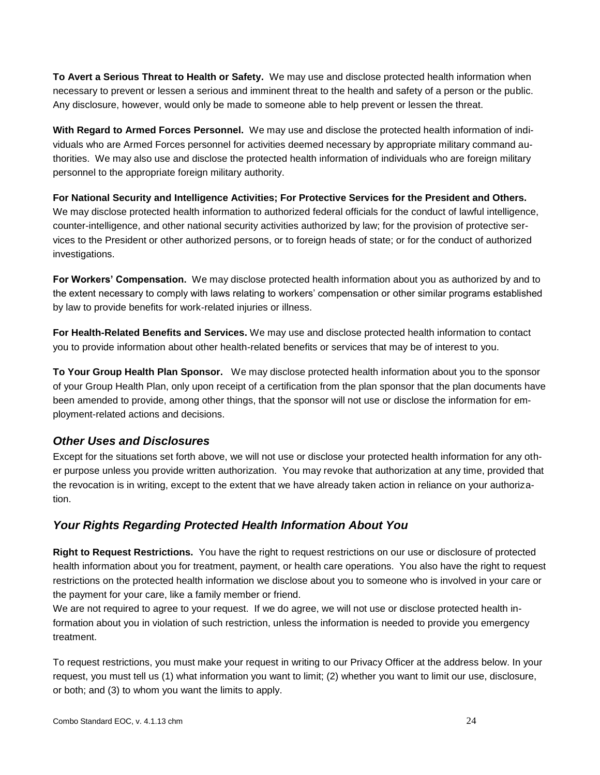**To Avert a Serious Threat to Health or Safety.** We may use and disclose protected health information when necessary to prevent or lessen a serious and imminent threat to the health and safety of a person or the public. Any disclosure, however, would only be made to someone able to help prevent or lessen the threat.

**With Regard to Armed Forces Personnel.** We may use and disclose the protected health information of individuals who are Armed Forces personnel for activities deemed necessary by appropriate military command authorities. We may also use and disclose the protected health information of individuals who are foreign military personnel to the appropriate foreign military authority.

**For National Security and Intelligence Activities; For Protective Services for the President and Others.** We may disclose protected health information to authorized federal officials for the conduct of lawful intelligence, counter-intelligence, and other national security activities authorized by law; for the provision of protective services to the President or other authorized persons, or to foreign heads of state; or for the conduct of authorized investigations.

**For Workers' Compensation.** We may disclose protected health information about you as authorized by and to the extent necessary to comply with laws relating to workers' compensation or other similar programs established by law to provide benefits for work-related injuries or illness.

**For Health-Related Benefits and Services.** We may use and disclose protected health information to contact you to provide information about other health-related benefits or services that may be of interest to you.

**To Your Group Health Plan Sponsor.** We may disclose protected health information about you to the sponsor of your Group Health Plan, only upon receipt of a certification from the plan sponsor that the plan documents have been amended to provide, among other things, that the sponsor will not use or disclose the information for employment-related actions and decisions.

### *Other Uses and Disclosures*

Except for the situations set forth above, we will not use or disclose your protected health information for any other purpose unless you provide written authorization. You may revoke that authorization at any time, provided that the revocation is in writing, except to the extent that we have already taken action in reliance on your authorization.

## *Your Rights Regarding Protected Health Information About You*

**Right to Request Restrictions.** You have the right to request restrictions on our use or disclosure of protected health information about you for treatment, payment, or health care operations. You also have the right to request restrictions on the protected health information we disclose about you to someone who is involved in your care or the payment for your care, like a family member or friend.

We are not required to agree to your request.If we do agree, we will not use or disclose protected health information about you in violation of such restriction, unless the information is needed to provide you emergency treatment.

To request restrictions, you must make your request in writing to our Privacy Officer at the address below. In your request, you must tell us (1) what information you want to limit; (2) whether you want to limit our use, disclosure, or both; and (3) to whom you want the limits to apply.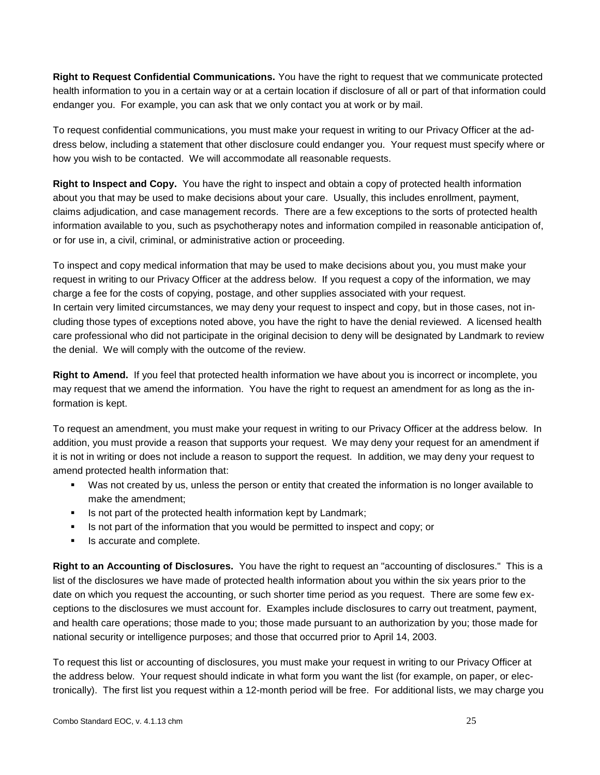**Right to Request Confidential Communications.** You have the right to request that we communicate protected health information to you in a certain way or at a certain location if disclosure of all or part of that information could endanger you. For example, you can ask that we only contact you at work or by mail.

To request confidential communications, you must make your request in writing to our Privacy Officer at the address below, including a statement that other disclosure could endanger you. Your request must specify where or how you wish to be contacted. We will accommodate all reasonable requests.

**Right to Inspect and Copy.** You have the right to inspect and obtain a copy of protected health information about you that may be used to make decisions about your care. Usually, this includes enrollment, payment, claims adjudication, and case management records. There are a few exceptions to the sorts of protected health information available to you, such as psychotherapy notes and information compiled in reasonable anticipation of, or for use in, a civil, criminal, or administrative action or proceeding.

To inspect and copy medical information that may be used to make decisions about you, you must make your request in writing to our Privacy Officer at the address below. If you request a copy of the information, we may charge a fee for the costs of copying, postage, and other supplies associated with your request. In certain very limited circumstances, we may deny your request to inspect and copy, but in those cases, not including those types of exceptions noted above, you have the right to have the denial reviewed. A licensed health care professional who did not participate in the original decision to deny will be designated by Landmark to review the denial. We will comply with the outcome of the review.

**Right to Amend.** If you feel that protected health information we have about you is incorrect or incomplete, you may request that we amend the information. You have the right to request an amendment for as long as the information is kept.

To request an amendment, you must make your request in writing to our Privacy Officer at the address below. In addition, you must provide a reason that supports your request. We may deny your request for an amendment if it is not in writing or does not include a reason to support the request. In addition, we may deny your request to amend protected health information that:

- Was not created by us, unless the person or entity that created the information is no longer available to make the amendment;
- Is not part of the protected health information kept by Landmark;
- Is not part of the information that you would be permitted to inspect and copy; or
- **IS accurate and complete.**

**Right to an Accounting of Disclosures.** You have the right to request an "accounting of disclosures." This is a list of the disclosures we have made of protected health information about you within the six years prior to the date on which you request the accounting, or such shorter time period as you request. There are some few exceptions to the disclosures we must account for. Examples include disclosures to carry out treatment, payment, and health care operations; those made to you; those made pursuant to an authorization by you; those made for national security or intelligence purposes; and those that occurred prior to April 14, 2003.

To request this list or accounting of disclosures, you must make your request in writing to our Privacy Officer at the address below. Your request should indicate in what form you want the list (for example, on paper, or electronically). The first list you request within a 12-month period will be free. For additional lists, we may charge you